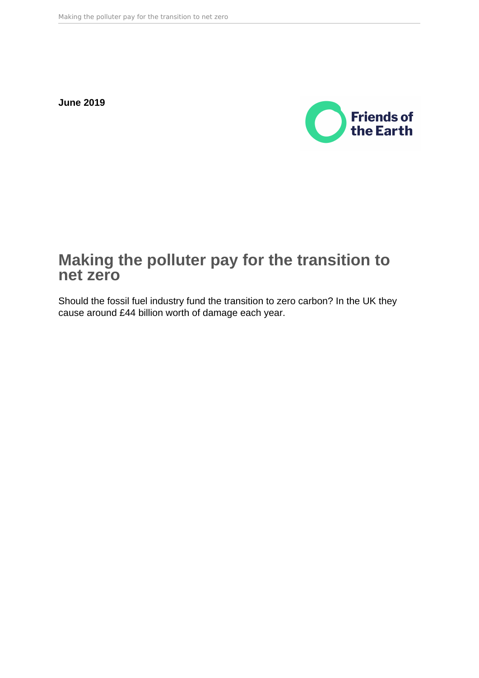**June 2019**



# **Making the polluter pay for the transition to net zero**

Should the fossil fuel industry fund the transition to zero carbon? In the UK they cause around £44 billion worth of damage each year.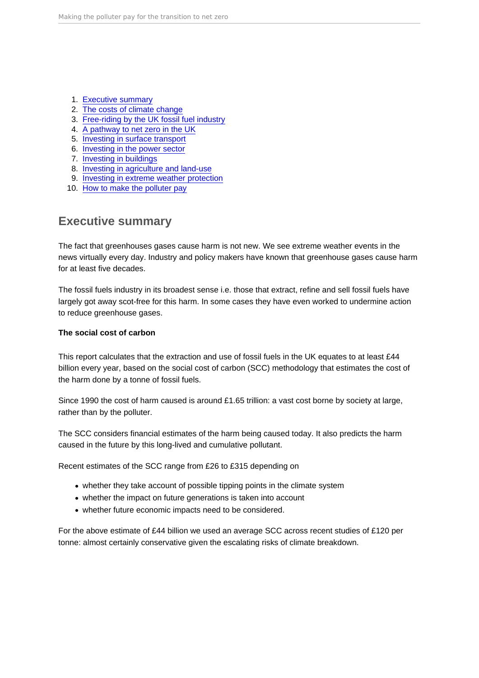- 1. Executive summary
- 2. [The costs of climate change](#page-3-0)
- 3. [Free-riding by the UK fossil fuel industry](#page-9-0)
- 4. [A pathway to net zero in the UK](#page-13-0)
- 5. [Investing in surface transport](#page-14-0)
- 6. [Investing in the power sector](#page-17-0)
- 7. [Investing in buildings](#page-20-0)
- 8. [Investing in agriculture and land-use](#page-23-0)
- 9. [Investing in extreme weather protection](#page-27-0)
- 10. [How to make the polluter pay](#page-29-0)

## Executive summary

The fact that greenhouses gases cause harm is not new. We see extreme weather events in the news virtually every day. Industry and policy makers have known that greenhouse gases cause harm for at least five decades.

The fossil fuels industry in its broadest sense i.e. those that extract, refine and sell fossil fuels have largely got away scot-free for this harm. In some cases they have even worked to undermine action to reduce greenhouse gases.

The social cost of carbon

This report calculates that the extraction and use of fossil fuels in the UK equates to at least £44 billion every year, based on the social cost of carbon (SCC) methodology that estimates the cost of the harm done by a tonne of fossil fuels.

Since 1990 the cost of harm caused is around £1.65 trillion: a vast cost borne by society at large, rather than by the polluter.

The SCC considers financial estimates of the harm being caused today. It also predicts the harm caused in the future by this long-lived and cumulative pollutant.

Recent estimates of the SCC range from £26 to £315 depending on

- whether they take account of possible tipping points in the climate system
- whether the impact on future generations is taken into account
- whether future economic impacts need to be considered.

For the above estimate of £44 billion we used an average SCC across recent studies of £120 per tonne: almost certainly conservative given the escalating risks of climate breakdown.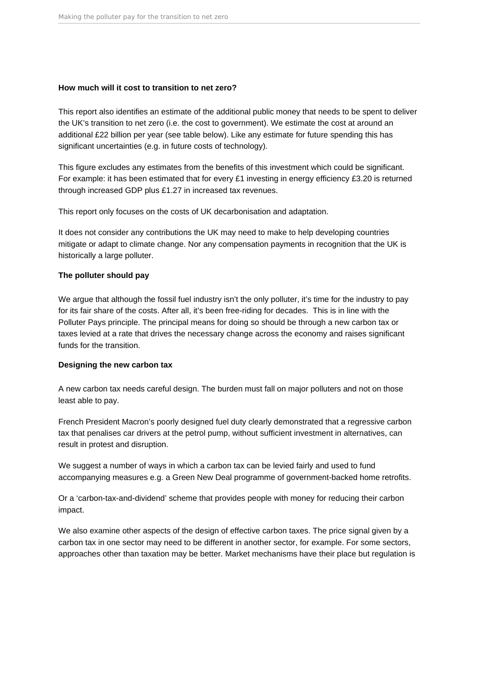## **How much will it cost to transition to net zero?**

This report also identifies an estimate of the additional public money that needs to be spent to deliver the UK's transition to net zero (i.e. the cost to government). We estimate the cost at around an additional £22 billion per year (see table below). Like any estimate for future spending this has significant uncertainties (e.g. in future costs of technology).

This figure excludes any estimates from the benefits of this investment which could be significant. For example: it has been estimated that for every £1 investing in energy efficiency £3.20 is returned through increased GDP plus £1.27 in increased tax revenues.

This report only focuses on the costs of UK decarbonisation and adaptation.

It does not consider any contributions the UK may need to make to help developing countries mitigate or adapt to climate change. Nor any compensation payments in recognition that the UK is historically a large polluter.

## **The polluter should pay**

We argue that although the fossil fuel industry isn't the only polluter, it's time for the industry to pay for its fair share of the costs. After all, it's been free-riding for decades. This is in line with the Polluter Pays principle. The principal means for doing so should be through a new carbon tax or taxes levied at a rate that drives the necessary change across the economy and raises significant funds for the transition.

## **Designing the new carbon tax**

A new carbon tax needs careful design. The burden must fall on major polluters and not on those least able to pay.

French President Macron's poorly designed fuel duty clearly demonstrated that a regressive carbon tax that penalises car drivers at the petrol pump, without sufficient investment in alternatives, can result in protest and disruption.

We suggest a number of ways in which a carbon tax can be levied fairly and used to fund accompanying measures e.g. a Green New Deal programme of government-backed home retrofits.

Or a 'carbon-tax-and-dividend' scheme that provides people with money for reducing their carbon impact.

We also examine other aspects of the design of effective carbon taxes. The price signal given by a carbon tax in one sector may need to be different in another sector, for example. For some sectors, approaches other than taxation may be better. Market mechanisms have their place but regulation is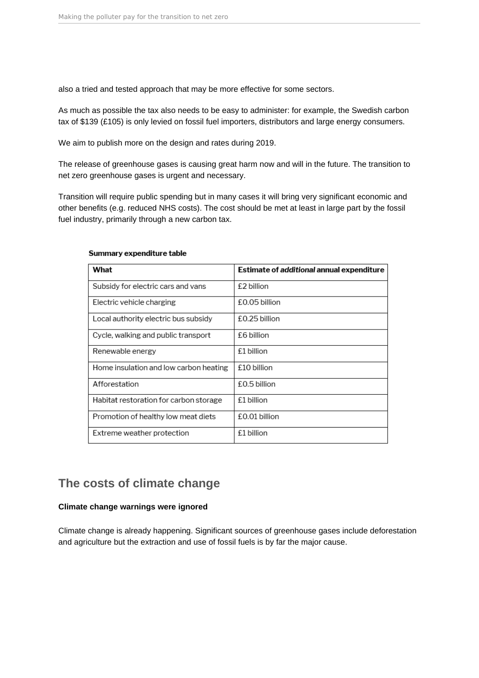<span id="page-3-0"></span>also a tried and tested approach that may be more effective for some sectors.

As much as possible the tax also needs to be easy to administer: for example, the Swedish carbon tax of \$139 (£105) is only levied on fossil fuel importers, distributors and large energy consumers.

We aim to publish more on the design and rates during 2019.

The release of greenhouse gases is causing great harm now and will in the future. The transition to net zero greenhouse gases is urgent and necessary.

Transition will require public spending but in many cases it will bring very significant economic and other benefits (e.g. reduced NHS costs). The cost should be met at least in large part by the fossil fuel industry, primarily through a new carbon tax.

| What                                   | Estimate of additional annual expenditure |
|----------------------------------------|-------------------------------------------|
| Subsidy for electric cars and vans     | £2 billion                                |
| Electric vehicle charging              | £0.05 billion                             |
| Local authority electric bus subsidy   | £0.25 billion                             |
| Cycle, walking and public transport    | £6 billion                                |
| Renewable energy                       | £1 billion                                |
| Home insulation and low carbon heating | £10 billion                               |
| Afforestation                          | £0.5 billion                              |
| Habitat restoration for carbon storage | £1 billion                                |
| Promotion of healthy low meat diets    | £0.01 billion                             |
| Extreme weather protection             | £1 billion                                |

#### Summary expenditure table

## **The costs of climate change**

## **Climate change warnings were ignored**

Climate change is already happening. Significant sources of greenhouse gases include deforestation and agriculture but the extraction and use of fossil fuels is by far the major cause.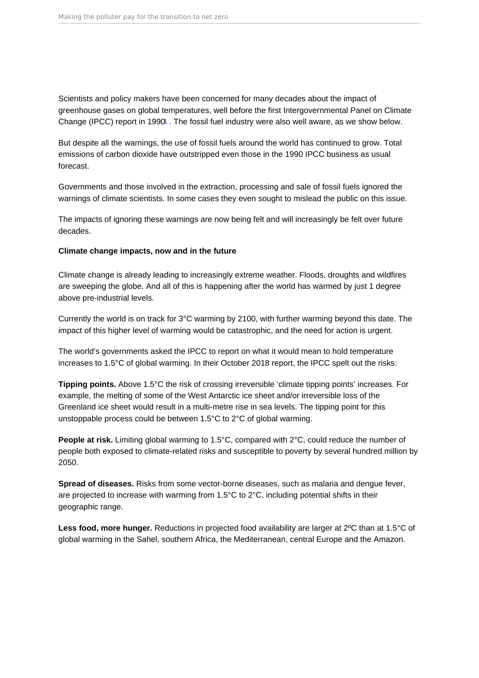<span id="page-4-0"></span>Scientists and policy makers have been concerned for many decades about the impact of greenhouse gases on global temperatures, well before the first Intergovernmental Panel on Climate Change (IPCC) report in [1](#page-41-0)990<sup>1</sup>. The fossil fuel industry were also well aware, as we show below.

But despite all the warnings, the use of fossil fuels around the world has continued to grow. Total emissions of carbon dioxide have outstripped even those in the 1990 IPCC business as usual forecast.

Governments and those involved in the extraction, processing and sale of fossil fuels ignored the warnings of climate scientists. In some cases they even sought to mislead the public on this issue.

The impacts of ignoring these warnings are now being felt and will increasingly be felt over future decades.

Climate change impacts, now and in the future

Climate change is already leading to increasingly extreme weather. Floods, droughts and wildfires are sweeping the globe. And all of this is happening after the world has warmed by just 1 degree above pre-industrial levels.

Currently the world is on track for 3°C warming by 2100, with further warming beyond this date. The impact of this higher level of warming would be catastrophic, and the need for action is urgent.

The world's governments asked the IPCC to report on what it would mean to hold temperature increases to 1.5°C of global warming. In their October 2018 report, the IPCC spelt out the risks:

Tipping points. Above 1.5°C the risk of crossing irreversible 'climate tipping points' increases. For example, the melting of some of the West Antarctic ice sheet and/or irreversible loss of the Greenland ice sheet would result in a multi-metre rise in sea levels. The tipping point for this unstoppable process could be between 1.5°C to 2°C of global warming.

People at risk. Limiting global warming to 1.5°C, compared with 2°C, could reduce the number of people both exposed to climate-related risks and susceptible to poverty by several hundred million by 2050.

Spread of diseases. Risks from some vector-borne diseases, such as malaria and dengue fever, are projected to increase with warming from 1.5°C to 2°C, including potential shifts in their geographic range.

Less food, more hunger. Reductions in projected food availability are larger at 2°C than at 1.5°C of global warming in the Sahel, southern Africa, the Mediterranean, central Europe and the Amazon.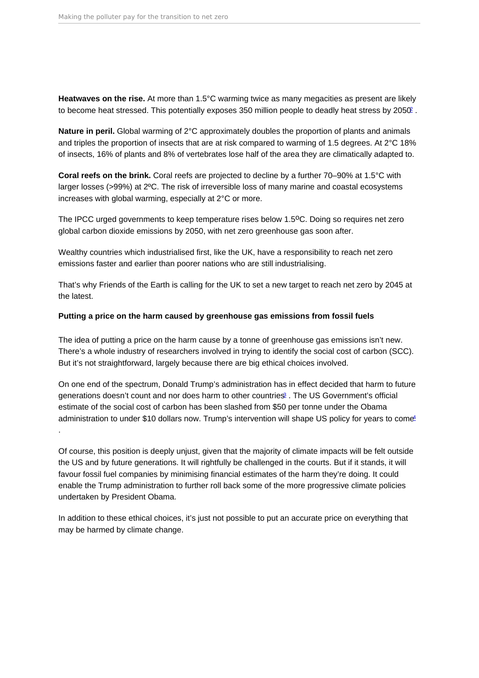<span id="page-5-0"></span>Heatwaves on the rise. At more than 1.5°C warming twice as many megacities as present are likely to become heat stressed. This potentially exposes 350 million people to deadly heat stress by [2](#page-41-0)050.

Nature in peril. Global warming of 2°C approximately doubles the proportion of plants and animals and triples the proportion of insects that are at risk compared to warming of 1.5 degrees. At 2°C 18% of insects, 16% of plants and 8% of vertebrates lose half of the area they are climatically adapted to.

Coral reefs on the brink. Coral reefs are projected to decline by a further 70–90% at 1.5°C with larger losses (>99%) at 2ºC. The risk of irreversible loss of many marine and coastal ecosystems increases with global warming, especially at 2°C or more.

The IPCC urged governments to keep temperature rises below 1.5<sup>o</sup>C. Doing so requires net zero global carbon dioxide emissions by 2050, with net zero greenhouse gas soon after.

Wealthy countries which industrialised first, like the UK, have a responsibility to reach net zero emissions faster and earlier than poorer nations who are still industrialising.

That's why Friends of the Earth is calling for the UK to set a new target to reach net zero by 2045 at the latest.

Putting a price on the harm caused by greenhouse gas emissions from fossil fuels

The idea of putting a price on the harm cause by a tonne of greenhouse gas emissions isn't new. There's a whole industry of researchers involved in trying to identify the social cost of carbon (SCC). But it's not straightforward, largely because there are big ethical choices involved.

On one end of the spectrum, Donald Trump's administration has in effect decided that harm to future generations doesn't count and nor does harm to other countries<sup>2</sup>. The US Government's official estimate of the social cost of carbon has been slashed from \$50 per tonne under the Obama administration to under \$10 dollars now. Trump's intervention will shape US policy for years to come! .

Of course, this position is deeply unjust, given that the majority of climate impacts will be felt outside the US and by future generations. It will rightfully be challenged in the courts. But if it stands, it will favour fossil fuel companies by minimising financial estimates of the harm they're doing. It could enable the Trump administration to further roll back some of the more progressive climate policies undertaken by President Obama.

In addition to these ethical choices, it's just not possible to put an accurate price on everything that may be harmed by climate change.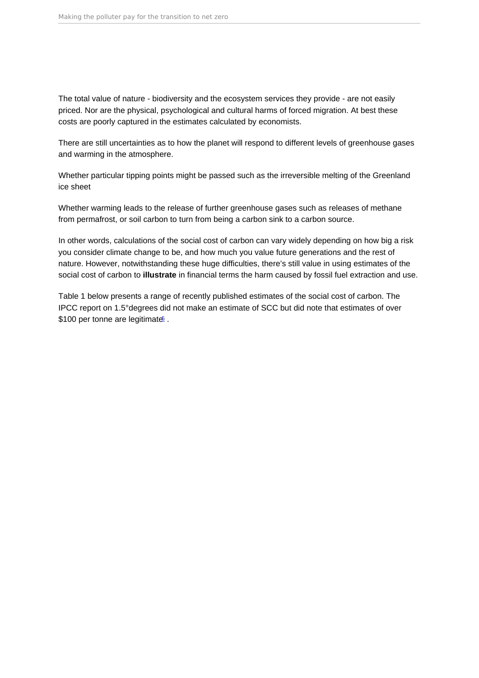<span id="page-6-0"></span>The total value of nature - biodiversity and the ecosystem services they provide - are not easily priced. Nor are the physical, psychological and cultural harms of forced migration. At best these costs are poorly captured in the estimates calculated by economists.

There are still uncertainties as to how the planet will respond to different levels of greenhouse gases and warming in the atmosphere.

Whether particular tipping points might be passed such as the irreversible melting of the Greenland ice sheet

Whether warming leads to the release of further greenhouse gases such as releases of methane from permafrost, or soil carbon to turn from being a carbon sink to a carbon source.

In other words, calculations of the social cost of carbon can vary widely depending on how big a risk you consider climate change to be, and how much you value future generations and the rest of nature. However, notwithstanding these huge difficulties, there's still value in using estimates of the social cost of carbon to illustrate in financial terms the harm caused by fossil fuel extraction and use.

Table 1 below presents a range of recently published estimates of the social cost of carbon. The IPCC report on 1.5°degrees did not make an estimate of SCC but did note that estimates of over \$100 per tonne are legitimate<sup>[5](#page-41-0)</sup>.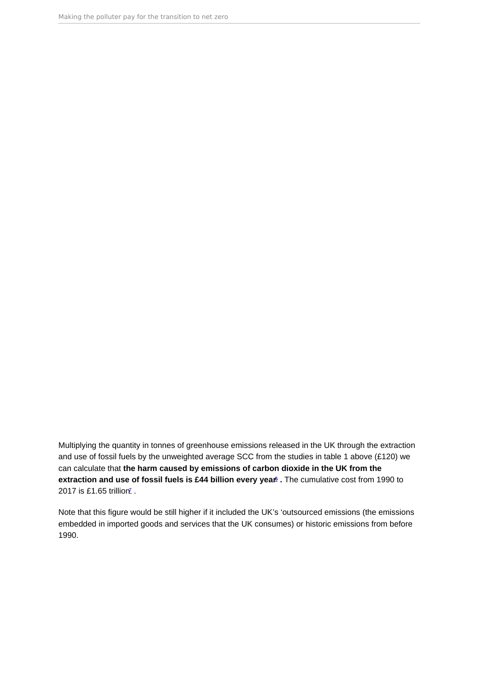<span id="page-7-0"></span>Multiplying the quantity in tonnes of greenhouse emissions released in the UK through the extraction and use of fossil fuels by the unweighted average SCC from the studies in table 1 above (£120) we can calculate that the harm caused by emissions of carbon dioxide in the UK from the extraction and use of fossil fuels is £44 billion every year  $6$ . The cumulative cost from 1990 to 201[7](#page-41-0) is £1.65 trillion<sup>7</sup>.

Note that this figure would be still higher if it included the UK's 'outsourced emissions (the emissions embedded in imported goods and services that the UK consumes) or historic emissions from before 1990.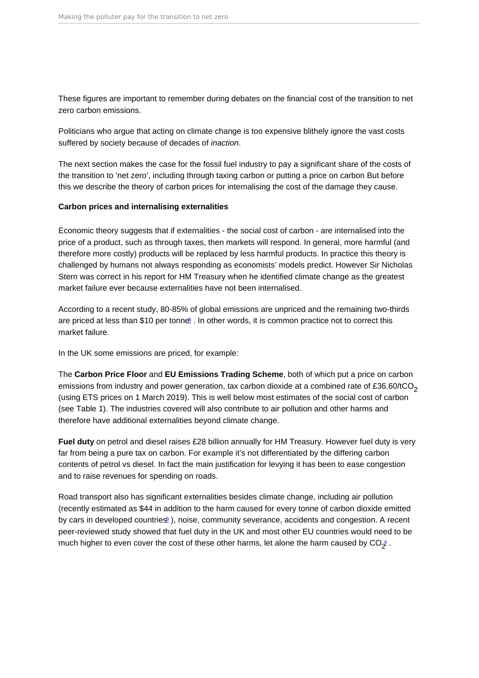<span id="page-8-0"></span>These figures are important to remember during debates on the financial cost of the transition to net zero carbon emissions.

Politicians who argue that acting on climate change is too expensive blithely ignore the vast costs suffered by society because of decades of inaction.

The next section makes the case for the fossil fuel industry to pay a significant share of the costs of the transition to 'net zero', including through taxing carbon or putting a price on carbon But before this we describe the theory of carbon prices for internalising the cost of the damage they cause.

Carbon prices and internalising externalities

Economic theory suggests that if externalities - the social cost of carbon - are internalised into the price of a product, such as through taxes, then markets will respond. In general, more harmful (and therefore more costly) products will be replaced by less harmful products. In practice this theory is challenged by humans not always responding as economists' models predict. However Sir Nicholas Stern was correct in his report for HM Treasury when he identified climate change as the greatest market failure ever because externalities have not been internalised.

According to a recent study, 80-85% of global emissions are unpriced and the remaining two-thirds are priced at less than \$10 per tonne[8](#page-41-0) . In other words, it is common practice not to correct this market failure.

In the UK some emissions are priced, for example:

The Carbon Price Floor and EU Emissions Trading Scheme , both of which put a price on carbon emissions from industry and power generation, tax carbon dioxide at a combined rate of £36.60/tCO<sub>2</sub> (using ETS prices on 1 March 2019). This is well below most estimates of the social cost of carbon (see Table 1). The industries covered will also contribute to air pollution and other harms and therefore have additional externalities beyond climate change.

Fuel duty on petrol and diesel raises £28 billion annually for HM Treasury. However fuel duty is very far from being a pure tax on carbon. For example it's not differentiated by the differing carbon contents of petrol vs diesel. In fact the main justification for levying it has been to ease congestion and to raise revenues for spending on roads.

Road transport also has significant externalities besides climate change, including air pollution (recently estimated as \$44 in addition to the harm caused for every tonne of carbon dioxide emitted by cars in developed countries<sup>[9](#page-41-0)</sup>), noise, community severance, accidents and congestion. A recent peer-reviewed study showed that fuel duty in the UK and most other EU countries would need to be much higher to even cover the cost of these other harms, let alone the harm caused by CO $_2^{\circ}$  .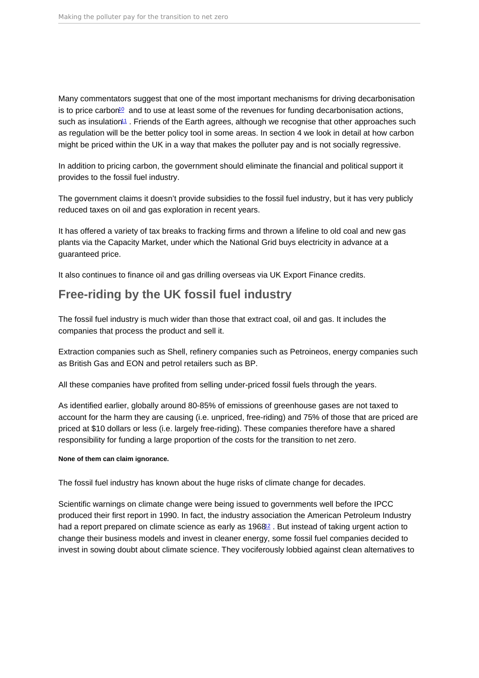<span id="page-9-0"></span>Many commentators suggest that one of the most important mechanisms for driving decarbonisation is to price carbon<sup>[10](#page-41-0)</sup> and to use at least some of the revenues for funding decarbonisation actions, such as insulation<sup>[11](#page-41-0)</sup>. Friends of the Earth agrees, although we recognise that other approaches such as regulation will be the better policy tool in some areas. In section 4 we look in detail at how carbon might be priced within the UK in a way that makes the polluter pay and is not socially regressive.

In addition to pricing carbon, the government should eliminate the financial and political support it provides to the fossil fuel industry.

The government claims it doesn't provide subsidies to the fossil fuel industry, but it has very publicly reduced taxes on oil and gas exploration in recent years.

It has offered a variety of tax breaks to fracking firms and thrown a lifeline to old coal and new gas plants via the Capacity Market, under which the National Grid buys electricity in advance at a guaranteed price.

It also continues to finance oil and gas drilling overseas via UK Export Finance credits.

## Free-riding by the UK fossil fuel industry

The fossil fuel industry is much wider than those that extract coal, oil and gas. It includes the companies that process the product and sell it.

Extraction companies such as Shell, refinery companies such as Petroineos, energy companies such as British Gas and EON and petrol retailers such as BP.

All these companies have profited from selling under-priced fossil fuels through the years.

As identified earlier, globally around 80-85% of emissions of greenhouse gases are not taxed to account for the harm they are causing (i.e. unpriced, free-riding) and 75% of those that are priced are priced at \$10 dollars or less (i.e. largely free-riding). These companies therefore have a shared responsibility for funding a large proportion of the costs for the transition to net zero.

None of them can claim ignorance.

The fossil fuel industry has known about the huge risks of climate change for decades.

Scientific warnings on climate change were being issued to governments well before the IPCC produced their first report in 1990. In fact, the industry association the American Petroleum Industry had a report prepared on climate science as early as 1968<sup>[12](#page-41-0)</sup>. But instead of taking urgent action to change their business models and invest in cleaner energy, some fossil fuel companies decided to invest in sowing doubt about climate science. They vociferously lobbied against clean alternatives to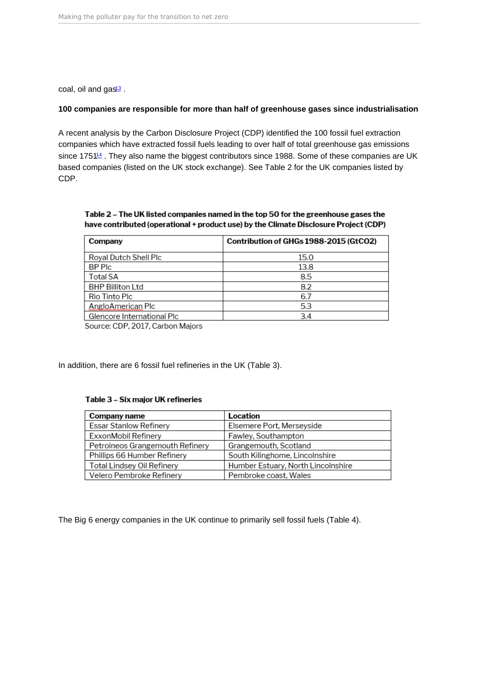<span id="page-10-0"></span>coal, oil and gas<sup>[13](#page-41-0)</sup>.

100 companies are responsible for more than half of greenhouse gases since industrialisation

A recent analysis by the Carbon Disclosure Project (CDP) identified the 100 fossil fuel extraction companies which have extracted fossil fuels leading to over half of total greenhouse gas emissions since 1751<sup>[14](#page-41-0)</sup>. They also name the biggest contributors since 1988. Some of these companies are UK based companies (listed on the UK stock exchange). See Table 2 for the UK companies listed by CDP.

In addition, there are 6 fossil fuel refineries in the UK (Table 3).

The Big 6 energy companies in the UK continue to primarily sell fossil fuels (Table 4).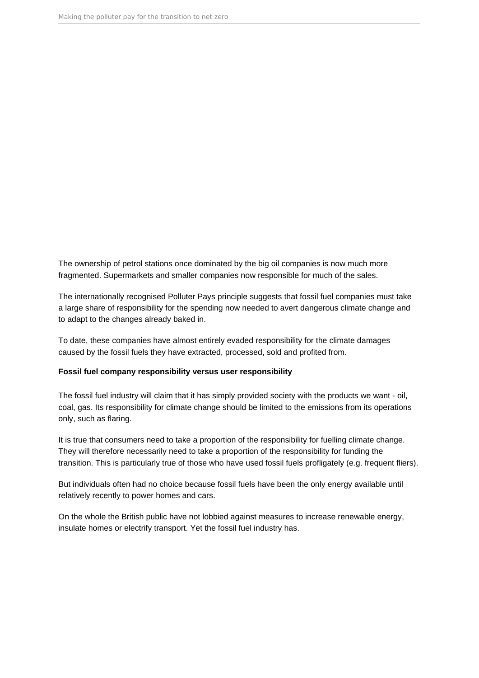The ownership of petrol stations once dominated by the big oil companies is now much more fragmented. Supermarkets and smaller companies now responsible for much of the sales.

The internationally recognised Polluter Pays principle suggests that fossil fuel companies must take a large share of responsibility for the spending now needed to avert dangerous climate change and to adapt to the changes already baked in.

To date, these companies have almost entirely evaded responsibility for the climate damages caused by the fossil fuels they have extracted, processed, sold and profited from.

## **Fossil fuel company responsibility versus user responsibility**

The fossil fuel industry will claim that it has simply provided society with the products we want - oil, coal, gas. Its responsibility for climate change should be limited to the emissions from its operations only, such as flaring.

It is true that consumers need to take a proportion of the responsibility for fuelling climate change. They will therefore necessarily need to take a proportion of the responsibility for funding the transition. This is particularly true of those who have used fossil fuels profligately (e.g. frequent fliers).

But individuals often had no choice because fossil fuels have been the only energy available until relatively recently to power homes and cars.

On the whole the British public have not lobbied against measures to increase renewable energy, insulate homes or electrify transport. Yet the fossil fuel industry has.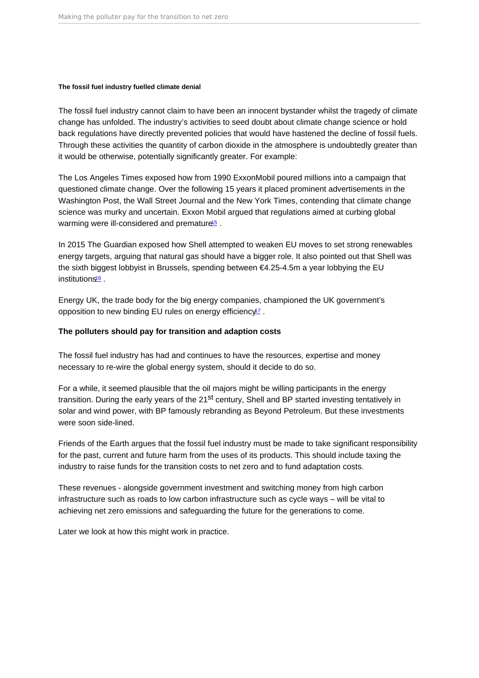<span id="page-12-0"></span>The fossil fuel industry fuelled climate denial

The fossil fuel industry cannot claim to have been an innocent bystander whilst the tragedy of climate change has unfolded. The industry's activities to seed doubt about climate change science or hold back regulations have directly prevented policies that would have hastened the decline of fossil fuels. Through these activities the quantity of carbon dioxide in the atmosphere is undoubtedly greater than it would be otherwise, potentially significantly greater. For example:

The Los Angeles Times exposed how from 1990 ExxonMobil poured millions into a campaign that questioned climate change. Over the following 15 years it placed prominent advertisements in the Washington Post, the Wall Street Journal and the New York Times, contending that climate change science was murky and uncertain. Exxon Mobil argued that regulations aimed at curbing global warming were ill-considered and premature<sup>[15](#page-41-0)</sup>.

In 2015 The Guardian exposed how Shell attempted to weaken EU moves to set strong renewables energy targets, arguing that natural gas should have a bigger role. It also pointed out that Shell was the sixth biggest lobbyist in Brussels, spending between €4.25-4.5m a year lobbying the EU institutions<sup>[16](#page-41-0)</sup>.

Energy UK, the trade body for the big energy companies, championed the UK government's opposition to new binding EU rules on energy efficiency<sup>[17](#page-41-0)</sup>.

The polluters should pay for transition and adaption costs

The fossil fuel industry has had and continues to have the resources, expertise and money necessary to re-wire the global energy system, should it decide to do so.

For a while, it seemed plausible that the oil majors might be willing participants in the energy transition. During the early years of the 21<sup>st</sup> century, Shell and BP started investing tentatively in solar and wind power, with BP famously rebranding as Beyond Petroleum. But these investments were soon side-lined.

Friends of the Earth argues that the fossil fuel industry must be made to take significant responsibility for the past, current and future harm from the uses of its products. This should include taxing the industry to raise funds for the transition costs to net zero and to fund adaptation costs.

These revenues - alongside government investment and switching money from high carbon infrastructure such as roads to low carbon infrastructure such as cycle ways – will be vital to achieving net zero emissions and safeguarding the future for the generations to come.

Later we look at how this might work in practice.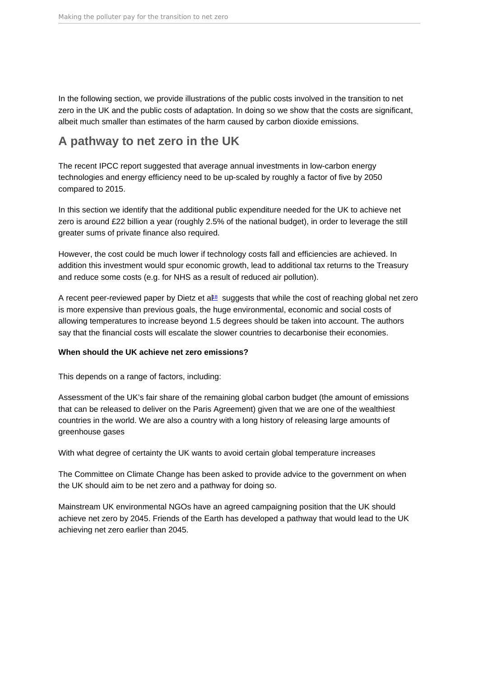<span id="page-13-0"></span>In the following section, we provide illustrations of the public costs involved in the transition to net zero in the UK and the public costs of adaptation. In doing so we show that the costs are significant, albeit much smaller than estimates of the harm caused by carbon dioxide emissions.

## A pathway to net zero in the UK

The recent IPCC report suggested that average annual investments in low-carbon energy technologies and energy efficiency need to be up-scaled by roughly a factor of five by 2050 compared to 2015.

In this section we identify that the additional public expenditure needed for the UK to achieve net zero is around £22 billion a year (roughly 2.5% of the national budget), in order to leverage the still greater sums of private finance also required.

However, the cost could be much lower if technology costs fall and efficiencies are achieved. In addition this investment would spur economic growth, lead to additional tax returns to the Treasury and reduce some costs (e.g. for NHS as a result of reduced air pollution).

A recent peer-reviewed paper by Dietz et al.<sup>8</sup> suggests that while the cost of reaching global net zero is more expensive than previous goals, the huge environmental, economic and social costs of allowing temperatures to increase beyond 1.5 degrees should be taken into account. The authors say that the financial costs will escalate the slower countries to decarbonise their economies.

When should the UK achieve net zero emissions?

This depends on a range of factors, including:

Assessment of the UK's fair share of the remaining global carbon budget (the amount of emissions that can be released to deliver on the Paris Agreement) given that we are one of the wealthiest countries in the world. We are also a country with a long history of releasing large amounts of greenhouse gases

With what degree of certainty the UK wants to avoid certain global temperature increases

The Committee on Climate Change has been asked to provide advice to the government on when the UK should aim to be net zero and a pathway for doing so.

Mainstream UK environmental NGOs have an agreed campaigning position that the UK should achieve net zero by 2045. Friends of the Earth has developed a pathway that would lead to the UK achieving net zero earlier than 2045.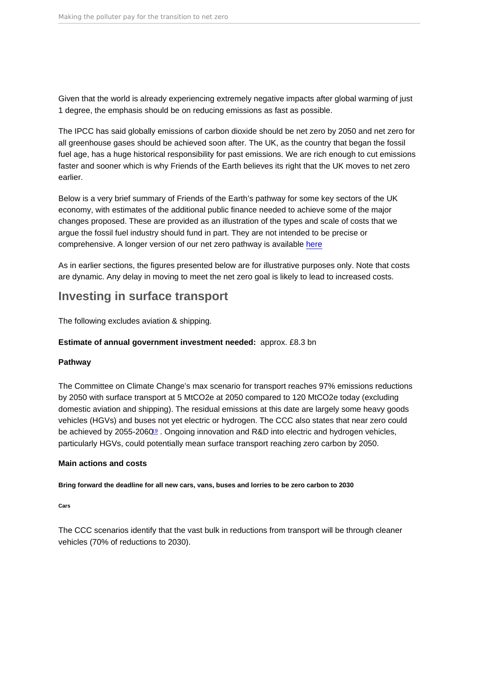<span id="page-14-0"></span>Given that the world is already experiencing extremely negative impacts after global warming of just 1 degree, the emphasis should be on reducing emissions as fast as possible.

The IPCC has said globally emissions of carbon dioxide should be net zero by 2050 and net zero for all greenhouse gases should be achieved soon after. The UK, as the country that began the fossil fuel age, has a huge historical responsibility for past emissions. We are rich enough to cut emissions faster and sooner which is why Friends of the Earth believes its right that the UK moves to net zero earlier.

Below is a very brief summary of Friends of the Earth's pathway for some key sectors of the UK economy, with estimates of the additional public finance needed to achieve some of the major changes proposed. These are provided as an illustration of the types and scale of costs that we argue the fossil fuel industry should fund in part. They are not intended to be precise or comprehensive. A longer version of our net zero pathway is available [here](https://friendsoftheearth.uk/climate-change/pathway-net-zero-greenhouse-gas-emissions)

As in earlier sections, the figures presented below are for illustrative purposes only. Note that costs are dynamic. Any delay in moving to meet the net zero goal is likely to lead to increased costs.

## Investing in surface transport

The following excludes aviation & shipping.

Estimate of annual government investment needed: approx. £8.3 bn

## Pathway

The Committee on Climate Change's max scenario for transport reaches 97% emissions reductions by 2050 with surface transport at 5 MtCO2e at 2050 compared to 120 MtCO2e today (excluding domestic aviation and shipping). The residual emissions at this date are largely some heavy goods vehicles (HGVs) and buses not yet electric or hydrogen. The CCC also states that near zero could be achieved by 2055-2060<sup>[19](#page-42-0)</sup>. Ongoing innovation and R&D into electric and hydrogen vehicles, particularly HGVs, could potentially mean surface transport reaching zero carbon by 2050.

## Main actions and costs

Bring forward the deadline for all new cars, vans, buses and lorries to be zero carbon to 2030

Cars

The CCC scenarios identify that the vast bulk in reductions from transport will be through cleaner vehicles (70% of reductions to 2030).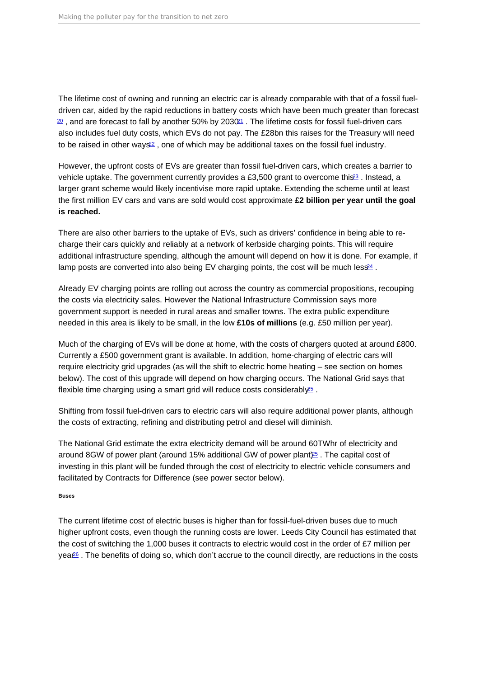<span id="page-15-0"></span>The lifetime cost of owning and running an electric car is already comparable with that of a fossil fueldriven car, aided by the rapid reductions in battery costs which have been much greater than forecast  $\frac{20}{2}$  $\frac{20}{2}$  $\frac{20}{2}$ , and are forecast to fall by another 50% by 2030<sup>[21](#page-42-0)</sup>. The lifetime costs for fossil fuel-driven cars also includes fuel duty costs, which EVs do not pay. The £28bn this raises for the Treasury will need to be raised in other ways<sup>[22](#page-42-0)</sup>, one of which may be additional taxes on the fossil fuel industry.

However, the upfront costs of EVs are greater than fossil fuel-driven cars, which creates a barrier to vehicle uptake. The government currently provides a £3,500 grant to overcome this<sup>[23](#page-42-0)</sup>. Instead, a larger grant scheme would likely incentivise more rapid uptake. Extending the scheme until at least the first million EV cars and vans are sold would cost approximate £2 billion per year until the goal is reached.

There are also other barriers to the uptake of EVs, such as drivers' confidence in being able to recharge their cars quickly and reliably at a network of kerbside charging points. This will require additional infrastructure spending, although the amount will depend on how it is done. For example, if lamp posts are converted into also being EV charging points, the cost will be much less<sup>[24](#page-42-0)</sup>.

Already EV charging points are rolling out across the country as commercial propositions, recouping the costs via electricity sales. However the National Infrastructure Commission says more government support is needed in rural areas and smaller towns. The extra public expenditure needed in this area is likely to be small, in the low £10s of millions (e.g. £50 million per year).

Much of the charging of EVs will be done at home, with the costs of chargers quoted at around £800. Currently a £500 government grant is available. In addition, home-charging of electric cars will require electricity grid upgrades (as will the shift to electric home heating – see section on homes below). The cost of this upgrade will depend on how charging occurs. The National Grid says that flexible time charging using a smart grid will reduce costs considerably<sup>[25](#page-42-0)</sup>.

Shifting from fossil fuel-driven cars to electric cars will also require additional power plants, although the costs of extracting, refining and distributing petrol and diesel will diminish.

The National Grid estimate the extra electricity demand will be around 60TWhr of electricity and around 8GW of power plant (around 15% additional GW of power plant $)25$  $)25$ . The capital cost of investing in this plant will be funded through the cost of electricity to electric vehicle consumers and facilitated by Contracts for Difference (see power sector below).

Buses

The current lifetime cost of electric buses is higher than for fossil-fuel-driven buses due to much higher upfront costs, even though the running costs are lower. Leeds City Council has estimated that the cost of switching the 1,000 buses it contracts to electric would cost in the order of £7 million per yea<sup>re</sup>. The benefits of doing so, which don't accrue to the council directly, are reductions in the costs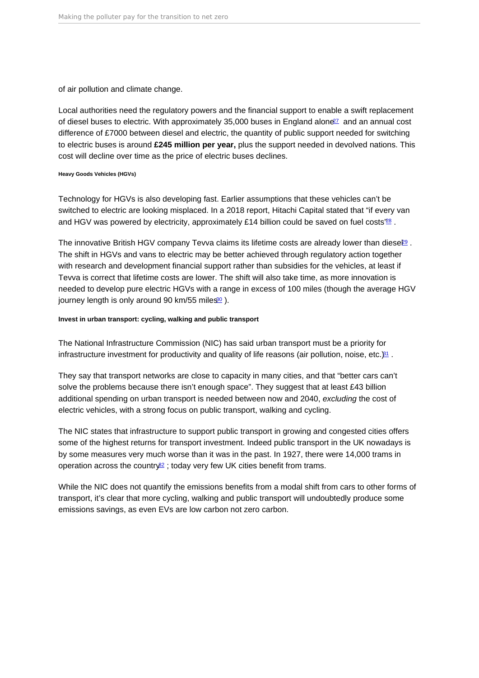<span id="page-16-0"></span>of air pollution and climate change.

Local authorities need the regulatory powers and the financial support to enable a swift replacement of diesel buses to electric. With approximately 35,000 buses in England alone<sup>[27](#page-42-0)</sup> and an annual cost difference of £7000 between diesel and electric, the quantity of public support needed for switching to electric buses is around £245 million per year, plus the support needed in devolved nations. This cost will decline over time as the price of electric buses declines.

Heavy Goods Vehicles (HGVs)

Technology for HGVs is also developing fast. Earlier assumptions that these vehicles can't be switched to electric are looking misplaced. In a 2018 report, Hitachi Capital stated that "if every van and HGV was powered by electricity, approximately £14 billion could be saved on fuel costs<sup>'[28](#page-42-0)</sup>.

The innovative British HGV company Tevva claims its lifetime costs are already lower than diese $\mathbb{B}$ . The shift in HGVs and vans to electric may be better achieved through regulatory action together with research and development financial support rather than subsidies for the vehicles, at least if Tevva is correct that lifetime costs are lower. The shift will also take time, as more innovation is needed to develop pure electric HGVs with a range in excess of 100 miles (though the average HGV journey length is only around 90 km/55 miles $30$ ).

Invest in urban transport: cycling, walking and public transport

The National Infrastructure Commission (NIC) has said urban transport must be a priority for infrastructure investment for productivity and quality of life reasons (air pollution, noise, etc.) $\frac{31}{2}$  $\frac{31}{2}$  $\frac{31}{2}$ .

They say that transport networks are close to capacity in many cities, and that "better cars can't solve the problems because there isn't enough space". They suggest that at least £43 billion additional spending on urban transport is needed between now and 2040, excluding the cost of electric vehicles, with a strong focus on public transport, walking and cycling.

The NIC states that infrastructure to support public transport in growing and congested cities offers some of the highest returns for transport investment. Indeed public transport in the UK nowadays is by some measures very much worse than it was in the past. In 1927, there were 14,000 trams in operation across the country $\frac{32}{5}$  $\frac{32}{5}$  $\frac{32}{5}$ ; today very few UK cities benefit from trams.

While the NIC does not quantify the emissions benefits from a modal shift from cars to other forms of transport, it's clear that more cycling, walking and public transport will undoubtedly produce some emissions savings, as even EVs are low carbon not zero carbon.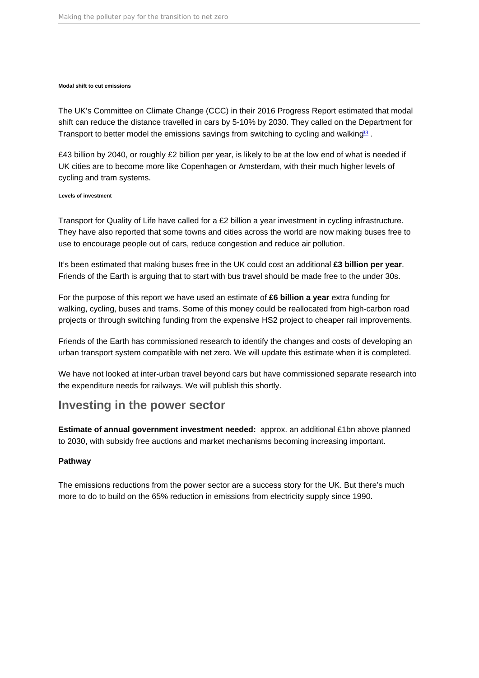#### <span id="page-17-0"></span>Modal shift to cut emissions

The UK's Committee on Climate Change (CCC) in their 2016 Progress Report estimated that modal shift can reduce the distance travelled in cars by 5-10% by 2030. They called on the Department for Transport to better model the emissions savings from switching to cycling and walking<sup>[33](#page-42-0)</sup>.

£43 billion by 2040, or roughly £2 billion per year, is likely to be at the low end of what is needed if UK cities are to become more like Copenhagen or Amsterdam, with their much higher levels of cycling and tram systems.

#### Levels of investment

Transport for Quality of Life have called for a £2 billion a year investment in cycling infrastructure. They have also reported that some towns and cities across the world are now making buses free to use to encourage people out of cars, reduce congestion and reduce air pollution.

It's been estimated that making buses free in the UK could cost an additional £3 billion per year. Friends of the Earth is arguing that to start with bus travel should be made free to the under 30s.

For the purpose of this report we have used an estimate of £6 billion a year extra funding for walking, cycling, buses and trams. Some of this money could be reallocated from high-carbon road projects or through switching funding from the expensive HS2 project to cheaper rail improvements.

Friends of the Earth has commissioned research to identify the changes and costs of developing an urban transport system compatible with net zero. We will update this estimate when it is completed.

We have not looked at inter-urban travel beyond cars but have commissioned separate research into the expenditure needs for railways. We will publish this shortly.

## Investing in the power sector

Estimate of annual government investment needed: approx. an additional £1bn above planned to 2030, with subsidy free auctions and market mechanisms becoming increasing important.

#### Pathway

The emissions reductions from the power sector are a success story for the UK. But there's much more to do to build on the 65% reduction in emissions from electricity supply since 1990.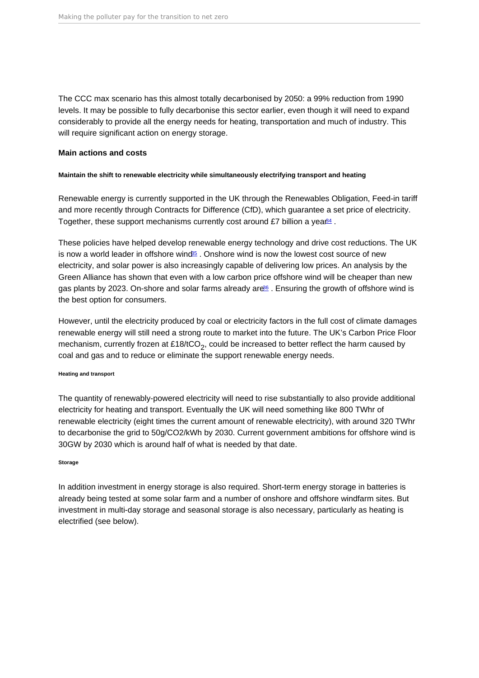<span id="page-18-0"></span>The CCC max scenario has this almost totally decarbonised by 2050: a 99% reduction from 1990 levels. It may be possible to fully decarbonise this sector earlier, even though it will need to expand considerably to provide all the energy needs for heating, transportation and much of industry. This will require significant action on energy storage.

Main actions and costs

Maintain the shift to renewable electricity while simultaneously electrifying transport and heating

Renewable energy is currently supported in the UK through the Renewables Obligation, Feed-in tariff and more recently through Contracts for Difference (CfD), which guarantee a set price of electricity. Together, these support mechanisms currently cost around £7 billion a yea $\frac{84}{4}$ .

These policies have helped develop renewable energy technology and drive cost reductions. The UK is now a world leader in offshore wind $55$ . Onshore wind is now the lowest cost source of new electricity, and solar power is also increasingly capable of delivering low prices. An analysis by the Green Alliance has shown that even with a low carbon price offshore wind will be cheaper than new gas plants by 2023. On-shore and solar farms already ar $e^{i\theta}$ . Ensuring the growth of offshore wind is the best option for consumers.

However, until the electricity produced by coal or electricity factors in the full cost of climate damages renewable energy will still need a strong route to market into the future. The UK's Carbon Price Floor mechanism, currently frozen at £18/tCO<sub>2</sub>, could be increased to better reflect the harm caused by coal and gas and to reduce or eliminate the support renewable energy needs.

Heating and transport

The quantity of renewably-powered electricity will need to rise substantially to also provide additional electricity for heating and transport. Eventually the UK will need something like 800 TWhr of renewable electricity (eight times the current amount of renewable electricity), with around 320 TWhr to decarbonise the grid to 50g/CO2/kWh by 2030. Current government ambitions for offshore wind is 30GW by 2030 which is around half of what is needed by that date.

#### Storage

In addition investment in energy storage is also required. Short-term energy storage in batteries is already being tested at some solar farm and a number of onshore and offshore windfarm sites. But investment in multi-day storage and seasonal storage is also necessary, particularly as heating is electrified (see below).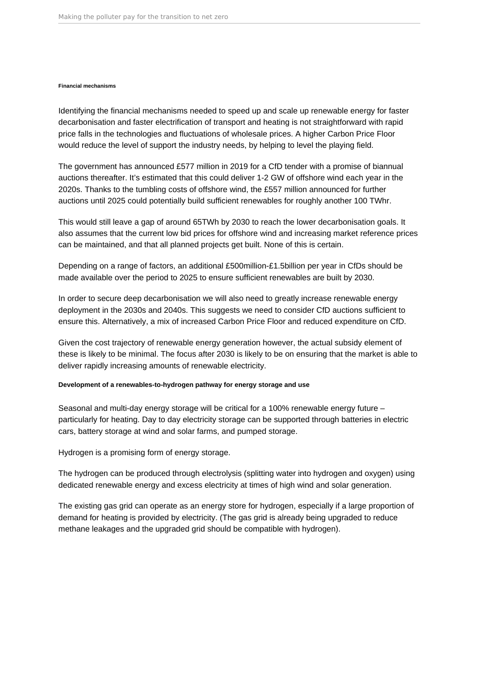#### **Financial mechanisms**

Identifying the financial mechanisms needed to speed up and scale up renewable energy for faster decarbonisation and faster electrification of transport and heating is not straightforward with rapid price falls in the technologies and fluctuations of wholesale prices. A higher Carbon Price Floor would reduce the level of support the industry needs, by helping to level the playing field.

The government has announced £577 million in 2019 for a CfD tender with a promise of biannual auctions thereafter. It's estimated that this could deliver 1-2 GW of offshore wind each year in the 2020s. Thanks to the tumbling costs of offshore wind, the £557 million announced for further auctions until 2025 could potentially build sufficient renewables for roughly another 100 TWhr.

This would still leave a gap of around 65TWh by 2030 to reach the lower decarbonisation goals. It also assumes that the current low bid prices for offshore wind and increasing market reference prices can be maintained, and that all planned projects get built. None of this is certain.

Depending on a range of factors, an additional £500million-£1.5billion per year in CfDs should be made available over the period to 2025 to ensure sufficient renewables are built by 2030.

In order to secure deep decarbonisation we will also need to greatly increase renewable energy deployment in the 2030s and 2040s. This suggests we need to consider CfD auctions sufficient to ensure this. Alternatively, a mix of increased Carbon Price Floor and reduced expenditure on CfD.

Given the cost trajectory of renewable energy generation however, the actual subsidy element of these is likely to be minimal. The focus after 2030 is likely to be on ensuring that the market is able to deliver rapidly increasing amounts of renewable electricity.

#### **Development of a renewables-to-hydrogen pathway for energy storage and use**

Seasonal and multi-day energy storage will be critical for a 100% renewable energy future – particularly for heating. Day to day electricity storage can be supported through batteries in electric cars, battery storage at wind and solar farms, and pumped storage.

Hydrogen is a promising form of energy storage.

The hydrogen can be produced through electrolysis (splitting water into hydrogen and oxygen) using dedicated renewable energy and excess electricity at times of high wind and solar generation.

The existing gas grid can operate as an energy store for hydrogen, especially if a large proportion of demand for heating is provided by electricity. (The gas grid is already being upgraded to reduce methane leakages and the upgraded grid should be compatible with hydrogen).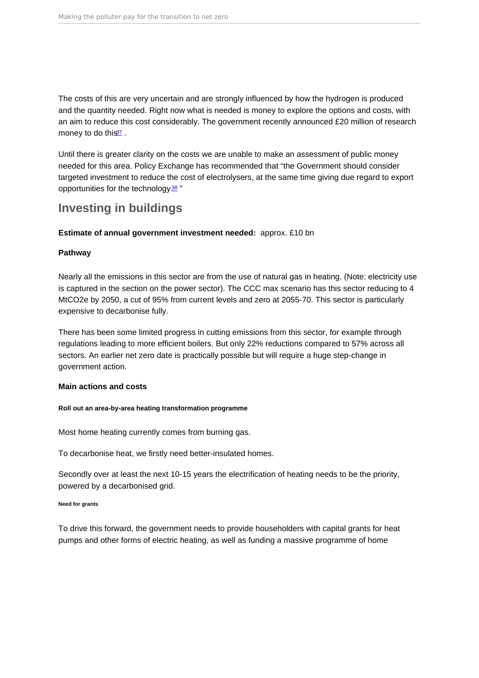<span id="page-20-0"></span>The costs of this are very uncertain and are strongly influenced by how the hydrogen is produced and the quantity needed. Right now what is needed is money to explore the options and costs, with an aim to reduce this cost considerably. The government recently announced £20 million of research money to do this<sup>[37](#page-42-0)</sup>.

Until there is greater clarity on the costs we are unable to make an assessment of public money needed for this area. Policy Exchange has recommended that "the Government should consider targeted investment to reduce the cost of electrolysers, at the same time giving due regard to export opportunities for the technology $38$ "

## Investing in buildings

Estimate of annual government investment needed: approx. £10 bn

Pathway

Nearly all the emissions in this sector are from the use of natural gas in heating. (Note: electricity use is captured in the section on the power sector). The CCC max scenario has this sector reducing to 4 MtCO2e by 2050, a cut of 95% from current levels and zero at 2055-70. This sector is particularly expensive to decarbonise fully.

There has been some limited progress in cutting emissions from this sector, for example through regulations leading to more efficient boilers. But only 22% reductions compared to 57% across all sectors. An earlier net zero date is practically possible but will require a huge step-change in government action.

Main actions and costs

Roll out an area-by-area heating transformation programme

Most home heating currently comes from burning gas.

To decarbonise heat, we firstly need better-insulated homes.

Secondly over at least the next 10-15 years the electrification of heating needs to be the priority, powered by a decarbonised grid.

Need for grants

To drive this forward, the government needs to provide householders with capital grants for heat pumps and other forms of electric heating, as well as funding a massive programme of home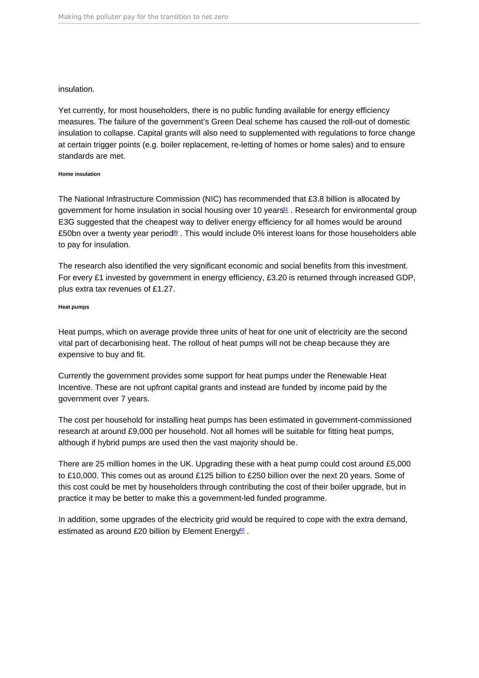### <span id="page-21-0"></span>insulation.

Yet currently, for most householders, there is no public funding available for energy efficiency measures. The failure of the government's Green Deal scheme has caused the roll-out of domestic insulation to collapse. Capital grants will also need to supplemented with regulations to force change at certain trigger points (e.g. boiler replacement, re-letting of homes or home sales) and to ensure standards are met.

#### Home insulation

The National Infrastructure Commission (NIC) has recommended that £3.8 billion is allocated by government for home insulation in social housing over 10 years<sup>[31](#page-42-0)</sup>. Research for environmental group E3G suggested that the cheapest way to deliver energy efficiency for all homes would be around £50bn over a twenty year period<sup>[39](#page-42-0)</sup>. This would include 0% interest loans for those householders able to pay for insulation.

The research also identified the very significant economic and social benefits from this investment. For every £1 invested by government in energy efficiency, £3.20 is returned through increased GDP, plus extra tax revenues of £1.27.

#### Heat pumps

Heat pumps, which on average provide three units of heat for one unit of electricity are the second vital part of decarbonising heat. The rollout of heat pumps will not be cheap because they are expensive to buy and fit.

Currently the government provides some support for heat pumps under the Renewable Heat Incentive. These are not upfront capital grants and instead are funded by income paid by the government over 7 years.

The cost per household for installing heat pumps has been estimated in government-commissioned research at around £9,000 per household. Not all homes will be suitable for fitting heat pumps, although if hybrid pumps are used then the vast majority should be.

There are 25 million homes in the UK. Upgrading these with a heat pump could cost around £5,000 to £10,000. This comes out as around £125 billion to £250 billion over the next 20 years. Some of this cost could be met by householders through contributing the cost of their boiler upgrade, but in practice it may be better to make this a government-led funded programme.

In addition, some upgrades of the electricity grid would be required to cope with the extra demand, estimated as around £20 billion by Element Energy<sup>[40](#page-43-0)</sup>.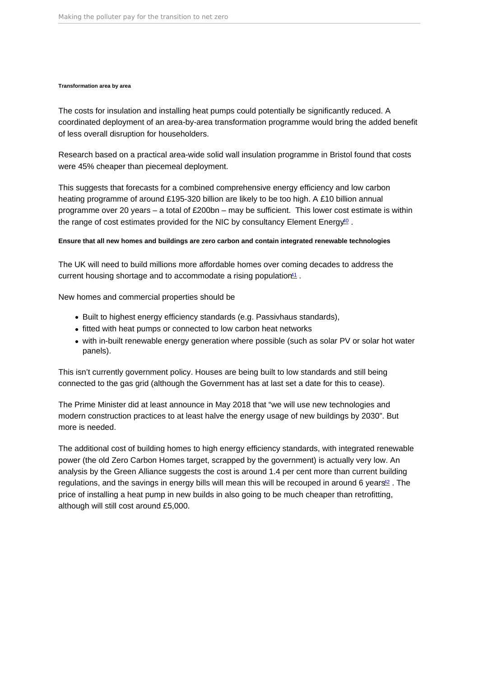#### <span id="page-22-0"></span>Transformation area by area

The costs for insulation and installing heat pumps could potentially be significantly reduced. A coordinated deployment of an area-by-area transformation programme would bring the added benefit of less overall disruption for householders.

Research based on a practical area-wide solid wall insulation programme in Bristol found that costs were 45% cheaper than piecemeal deployment.

This suggests that forecasts for a combined comprehensive energy efficiency and low carbon heating programme of around £195-320 billion are likely to be too high. A £10 billion annual programme over 20 years – a total of £200bn – may be sufficient. This lower cost estimate is within the range of cost estimates provided for the NIC by consultancy Element Energy<sup>[40](#page-43-0)</sup>.

Ensure that all new homes and buildings are zero carbon and contain integrated renewable technologies

The UK will need to build millions more affordable homes over coming decades to address the current housing shortage and to accommodate a rising population $41$ .

New homes and commercial properties should be

- Built to highest energy efficiency standards (e.g. Passivhaus standards),
- fitted with heat pumps or connected to low carbon heat networks
- with in-built renewable energy generation where possible (such as solar PV or solar hot water panels).

This isn't currently government policy. Houses are being built to low standards and still being connected to the gas grid (although the Government has at last set a date for this to cease).

The Prime Minister did at least announce in May 2018 that "we will use new technologies and modern construction practices to at least halve the energy usage of new buildings by 2030". But more is needed.

The additional cost of building homes to high energy efficiency standards, with integrated renewable power (the old Zero Carbon Homes target, scrapped by the government) is actually very low. An analysis by the Green Alliance suggests the cost is around 1.4 per cent more than current building regulations, and the savings in energy bills will mean this will be recouped in around 6 years<sup>[42](#page-43-0)</sup>. The price of installing a heat pump in new builds in also going to be much cheaper than retrofitting, although will still cost around £5,000.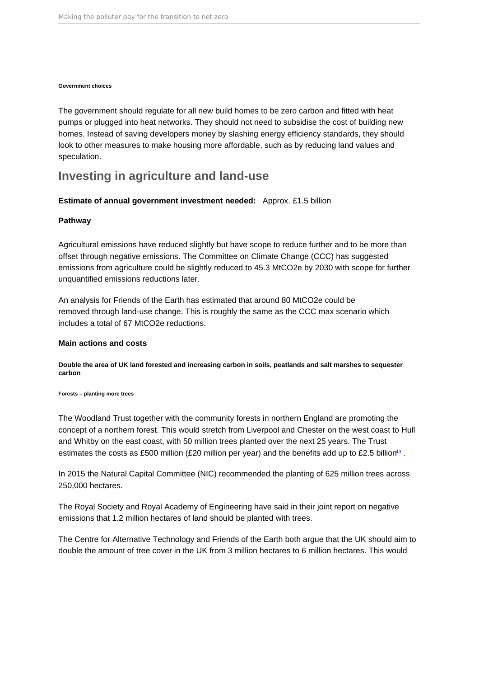#### <span id="page-23-0"></span>Government choices

The government should regulate for all new build homes to be zero carbon and fitted with heat pumps or plugged into heat networks. They should not need to subsidise the cost of building new homes. Instead of saving developers money by slashing energy efficiency standards, they should look to other measures to make housing more affordable, such as by reducing land values and speculation.

## Investing in agriculture and land-use

Estimate of annual government investment needed: Approx. £1.5 billion

### Pathway

Agricultural emissions have reduced slightly but have scope to reduce further and to be more than offset through negative emissions. The Committee on Climate Change (CCC) has suggested emissions from agriculture could be slightly reduced to 45.3 MtCO2e by 2030 with scope for further unquantified emissions reductions later.

An analysis for Friends of the Earth has estimated that around 80 MtCO2e could be removed through land-use change. This is roughly the same as the CCC max scenario which includes a total of 67 MtCO2e reductions.

#### Main actions and costs

Double the area of UK land forested and increasing carbon in soils, peatlands and salt marshes to sequester carbon

Forests – planting more trees

The Woodland Trust together with the community forests in northern England are promoting the concept of a northern forest. This would stretch from Liverpool and Chester on the west coast to Hull and Whitby on the east coast, with 50 million trees planted over the next 25 years. The Trust estimates the costs as £500 million (£20 million per year) and the benefits add up to £2.5 billion<sup>[43](#page-43-0)</sup>.

In 2015 the Natural Capital Committee (NIC) recommended the planting of 625 million trees across 250,000 hectares.

The Royal Society and Royal Academy of Engineering have said in their joint report on negative emissions that 1.2 million hectares of land should be planted with trees.

The Centre for Alternative Technology and Friends of the Earth both argue that the UK should aim to double the amount of tree cover in the UK from 3 million hectares to 6 million hectares. This would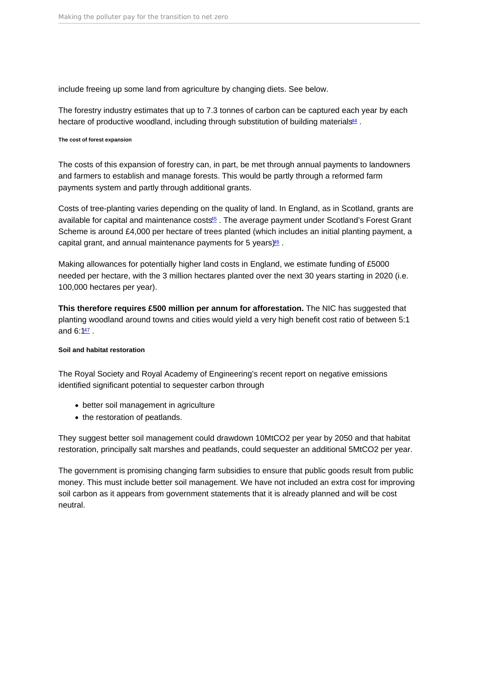<span id="page-24-0"></span>include freeing up some land from agriculture by changing diets. See below.

The forestry industry estimates that up to 7.3 tonnes of carbon can be captured each year by each hectare of productive woodland, including through substitution of building materials  $44$ .

The cost of forest expansion

The costs of this expansion of forestry can, in part, be met through annual payments to landowners and farmers to establish and manage forests. This would be partly through a reformed farm payments system and partly through additional grants.

Costs of tree-planting varies depending on the quality of land. In England, as in Scotland, grants are available for capital and maintenance costs<sup>[45](#page-43-0)</sup>. The average payment under Scotland's Forest Grant Scheme is around £4,000 per hectare of trees planted (which includes an initial planting payment, a capital grant, and annual maintenance payments for 5 years $)$ <sup>6</sup>.

Making allowances for potentially higher land costs in England, we estimate funding of £5000 needed per hectare, with the 3 million hectares planted over the next 30 years starting in 2020 (i.e. 100,000 hectares per year).

This therefore requires £500 million per annum for afforestation. The NIC has suggested that planting woodland around towns and cities would yield a very high benefit cost ratio of between 5:1 and  $6:147$  $6:147$ .

#### Soil and habitat restoration

The Royal Society and Royal Academy of Engineering's recent report on negative emissions identified significant potential to sequester carbon through

- better soil management in agriculture
- the restoration of peatlands.

They suggest better soil management could drawdown 10MtCO2 per year by 2050 and that habitat restoration, principally salt marshes and peatlands, could sequester an additional 5MtCO2 per year.

The government is promising changing farm subsidies to ensure that public goods result from public money. This must include better soil management. We have not included an extra cost for improving soil carbon as it appears from government statements that it is already planned and will be cost neutral.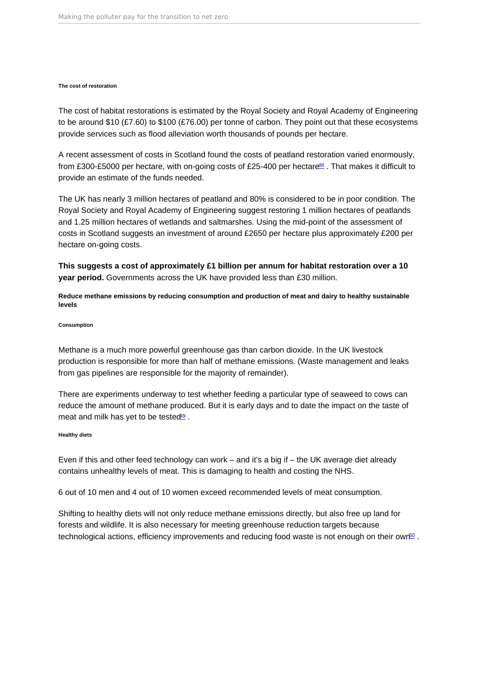#### <span id="page-25-0"></span>The cost of restoration

The cost of habitat restorations is estimated by the Royal Society and Royal Academy of Engineering to be around \$10 (£7.60) to \$100 (£76.00) per tonne of carbon. They point out that these ecosystems provide services such as flood alleviation worth thousands of pounds per hectare.

A recent assessment of costs in Scotland found the costs of peatland restoration varied enormously, from £300-£5000 per hectare, with on-going costs of £25-400 per hectare<sup>[48](#page-43-0)</sup>. That makes it difficult to provide an estimate of the funds needed.

The UK has nearly 3 million hectares of peatland and 80% is considered to be in poor condition. The Royal Society and Royal Academy of Engineering suggest restoring 1 million hectares of peatlands and 1.25 million hectares of wetlands and saltmarshes. Using the mid-point of the assessment of costs in Scotland suggests an investment of around £2650 per hectare plus approximately £200 per hectare on-going costs.

This suggests a cost of approximately £1 billion per annum for habitat restoration over a 10 year period. Governments across the UK have provided less than £30 million.

Reduce methane emissions by reducing consumption and production of meat and dairy to healthy sustainable levels

#### Consumption

Methane is a much more powerful greenhouse gas than carbon dioxide. In the UK livestock production is responsible for more than half of methane emissions. (Waste management and leaks from gas pipelines are responsible for the majority of remainder).

There are experiments underway to test whether feeding a particular type of seaweed to cows can reduce the amount of methane produced. But it is early days and to date the impact on the taste of meat and milk has yet to be tested $49$ .

#### Healthy diets

Even if this and other feed technology can work – and it's a big if – the UK average diet already contains unhealthy levels of meat. This is damaging to health and costing the NHS.

6 out of 10 men and 4 out of 10 women exceed recommended levels of meat consumption.

Shifting to healthy diets will not only reduce methane emissions directly, but also free up land for forests and wildlife. It is also necessary for meeting greenhouse reduction targets because technological actions, efficiency improvements and reducing food waste is not enough on their own<sup>[50](#page-43-0)</sup>.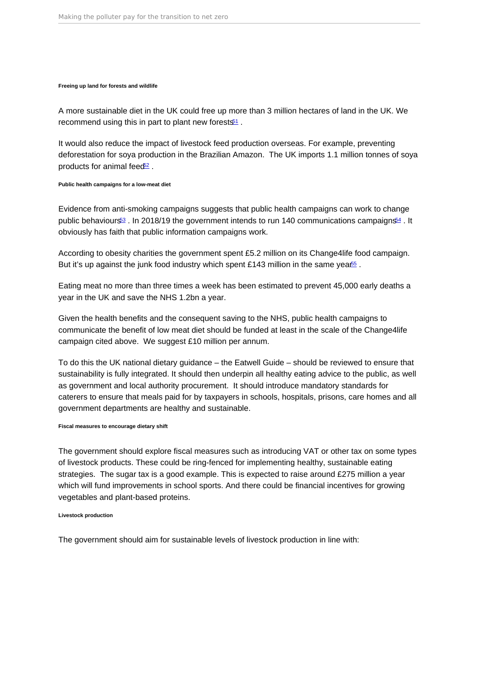<span id="page-26-0"></span>Freeing up land for forests and wildlife

A more sustainable diet in the UK could free up more than 3 million hectares of land in the UK. We recommend using this in part to plant new forests $1$ .

It would also reduce the impact of livestock feed production overseas. For example, preventing deforestation for soya production in the Brazilian Amazon. The UK imports 1.1 million tonnes of soya products for animal feed<sup>[52](#page-43-0)</sup>.

Public health campaigns for a low-meat diet

Evidence from anti-smoking campaigns suggests that public health campaigns can work to change public behaviours<sup>[53](#page-43-0)</sup>. In 2018/19 the government intends to run 140 communications campaigns<sup>[54](#page-43-0)</sup>. It obviously has faith that public information campaigns work.

According to obesity charities the government spent £5.2 million on its Change4life food campaign. But it's up against the junk food industry which spent £143 million in the same yea $\frac{65}{5}$ .

Eating meat no more than three times a week has been estimated to prevent 45,000 early deaths a year in the UK and save the NHS 1.2bn a year.

Given the health benefits and the consequent saving to the NHS, public health campaigns to communicate the benefit of low meat diet should be funded at least in the scale of the Change4life campaign cited above. We suggest £10 million per annum.

To do this the UK national dietary guidance – the Eatwell Guide – should be reviewed to ensure that sustainability is fully integrated. It should then underpin all healthy eating advice to the public, as well as government and local authority procurement. It should introduce mandatory standards for caterers to ensure that meals paid for by taxpayers in schools, hospitals, prisons, care homes and all government departments are healthy and sustainable.

Fiscal measures to encourage dietary shift

The government should explore fiscal measures such as introducing VAT or other tax on some types of livestock products. These could be ring-fenced for implementing healthy, sustainable eating strategies. The sugar tax is a good example. This is expected to raise around £275 million a year which will fund improvements in school sports. And there could be financial incentives for growing vegetables and plant-based proteins.

Livestock production

The government should aim for sustainable levels of livestock production in line with: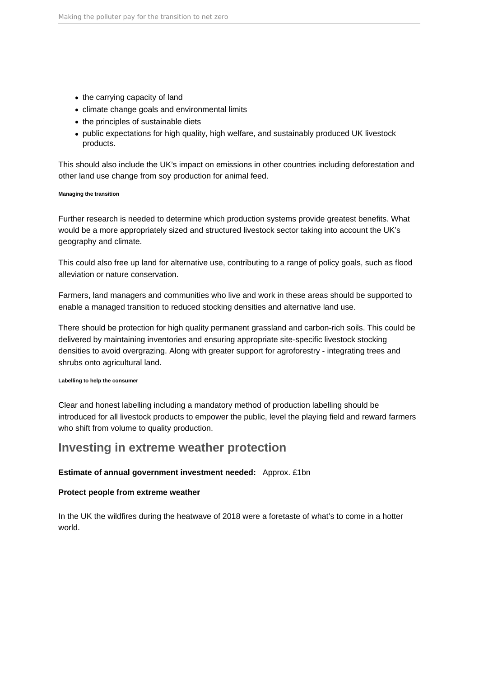- <span id="page-27-0"></span>• the carrying capacity of land
- climate change goals and environmental limits
- the principles of sustainable diets
- public expectations for high quality, high welfare, and sustainably produced UK livestock products.

This should also include the UK's impact on emissions in other countries including deforestation and other land use change from soy production for animal feed.

### **Managing the transition**

Further research is needed to determine which production systems provide greatest benefits. What would be a more appropriately sized and structured livestock sector taking into account the UK's geography and climate.

This could also free up land for alternative use, contributing to a range of policy goals, such as flood alleviation or nature conservation.

Farmers, land managers and communities who live and work in these areas should be supported to enable a managed transition to reduced stocking densities and alternative land use.

There should be protection for high quality permanent grassland and carbon-rich soils. This could be delivered by maintaining inventories and ensuring appropriate site-specific livestock stocking densities to avoid overgrazing. Along with greater support for agroforestry - integrating trees and shrubs onto agricultural land.

#### **Labelling to help the consumer**

Clear and honest labelling including a mandatory method of production labelling should be introduced for all livestock products to empower the public, level the playing field and reward farmers who shift from volume to quality production.

## **Investing in extreme weather protection**

## **Estimate of annual government investment needed:** Approx. £1bn

## **Protect people from extreme weather**

In the UK the wildfires during the heatwave of 2018 were a foretaste of what's to come in a hotter world.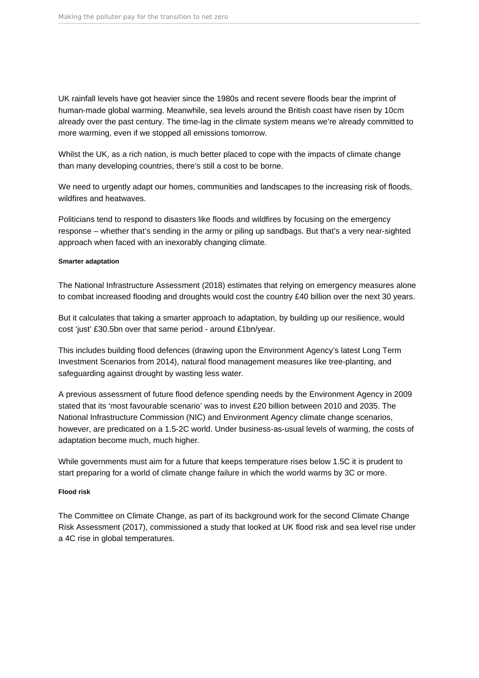UK rainfall levels have got heavier since the 1980s and recent severe floods bear the imprint of human-made global warming. Meanwhile, sea levels around the British coast have risen by 10cm already over the past century. The time-lag in the climate system means we're already committed to more warming, even if we stopped all emissions tomorrow.

Whilst the UK, as a rich nation, is much better placed to cope with the impacts of climate change than many developing countries, there's still a cost to be borne.

We need to urgently adapt our homes, communities and landscapes to the increasing risk of floods, wildfires and heatwaves.

Politicians tend to respond to disasters like floods and wildfires by focusing on the emergency response – whether that's sending in the army or piling up sandbags. But that's a very near-sighted approach when faced with an inexorably changing climate.

#### **Smarter adaptation**

The National Infrastructure Assessment (2018) estimates that relying on emergency measures alone to combat increased flooding and droughts would cost the country £40 billion over the next 30 years.

But it calculates that taking a smarter approach to adaptation, by building up our resilience, would cost 'just' £30.5bn over that same period - around £1bn/year.

This includes building flood defences (drawing upon the Environment Agency's latest Long Term Investment Scenarios from 2014), natural flood management measures like tree-planting, and safeguarding against drought by wasting less water.

A previous assessment of future flood defence spending needs by the Environment Agency in 2009 stated that its 'most favourable scenario' was to invest £20 billion between 2010 and 2035. The National Infrastructure Commission (NIC) and Environment Agency climate change scenarios, however, are predicated on a 1.5-2C world. Under business-as-usual levels of warming, the costs of adaptation become much, much higher.

While governments must aim for a future that keeps temperature rises below 1.5C it is prudent to start preparing for a world of climate change failure in which the world warms by 3C or more.

## **Flood risk**

The Committee on Climate Change, as part of its background work for the second Climate Change Risk Assessment (2017), commissioned a study that looked at UK flood risk and sea level rise under a 4C rise in global temperatures.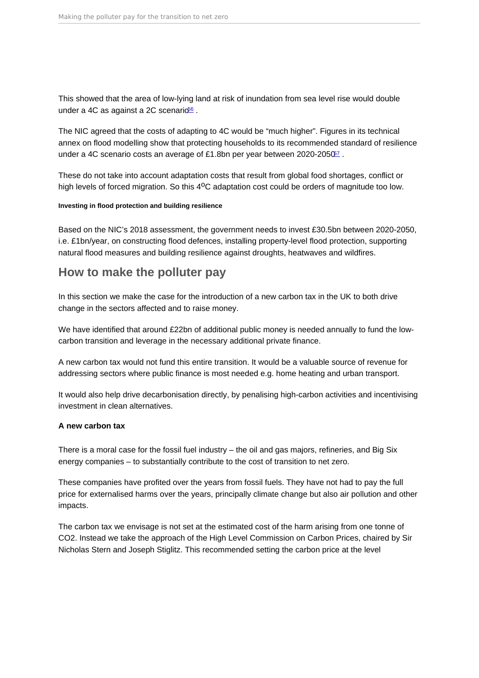<span id="page-29-0"></span>This showed that the area of low-lying land at risk of inundation from sea level rise would double under a 4C as against a 2C scenario<sup>[56](#page-43-0)</sup>.

The NIC agreed that the costs of adapting to 4C would be "much higher". Figures in its technical annex on flood modelling show that protecting households to its recommended standard of resilience under a 4C scenario costs an average of £1.8bn per year between 2020-2050<sup>2</sup>.

These do not take into account adaptation costs that result from global food shortages, conflict or high levels of forced migration. So this  $4^{\circ}$ C adaptation cost could be orders of magnitude too low.

Investing in flood protection and building resilience

Based on the NIC's 2018 assessment, the government needs to invest £30.5bn between 2020-2050, i.e. £1bn/year, on constructing flood defences, installing property-level flood protection, supporting natural flood measures and building resilience against droughts, heatwaves and wildfires.

## How to make the polluter pay

In this section we make the case for the introduction of a new carbon tax in the UK to both drive change in the sectors affected and to raise money.

We have identified that around £22bn of additional public money is needed annually to fund the lowcarbon transition and leverage in the necessary additional private finance.

A new carbon tax would not fund this entire transition. It would be a valuable source of revenue for addressing sectors where public finance is most needed e.g. home heating and urban transport.

It would also help drive decarbonisation directly, by penalising high-carbon activities and incentivising investment in clean alternatives.

A new carbon tax

There is a moral case for the fossil fuel industry – the oil and gas majors, refineries, and Big Six energy companies – to substantially contribute to the cost of transition to net zero.

These companies have profited over the years from fossil fuels. They have not had to pay the full price for externalised harms over the years, principally climate change but also air pollution and other impacts.

The carbon tax we envisage is not set at the estimated cost of the harm arising from one tonne of CO2. Instead we take the approach of the High Level Commission on Carbon Prices, chaired by Sir Nicholas Stern and Joseph Stiglitz. This recommended setting the carbon price at the level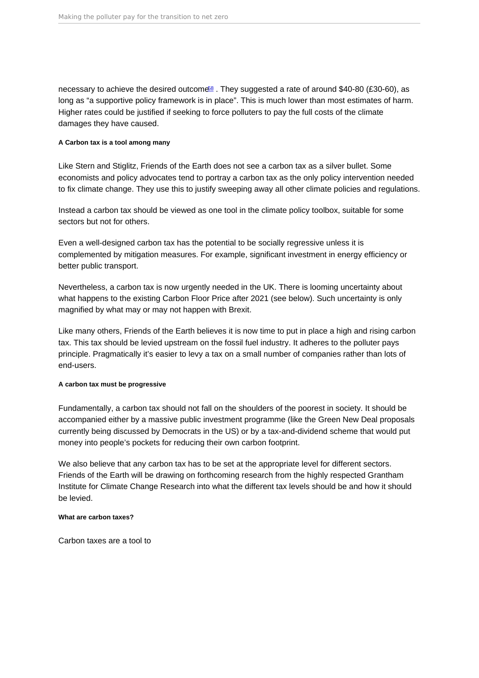<span id="page-30-0"></span>necessary to achieve the desired outcome<sup>[58](#page-43-0)</sup>. They suggested a rate of around \$40-80 (£30-60), as long as "a supportive policy framework is in place". This is much lower than most estimates of harm. Higher rates could be justified if seeking to force polluters to pay the full costs of the climate damages they have caused.

A Carbon tax is a tool among many

Like Stern and Stiglitz, Friends of the Earth does not see a carbon tax as a silver bullet. Some economists and policy advocates tend to portray a carbon tax as the only policy intervention needed to fix climate change. They use this to justify sweeping away all other climate policies and regulations.

Instead a carbon tax should be viewed as one tool in the climate policy toolbox, suitable for some sectors but not for others.

Even a well-designed carbon tax has the potential to be socially regressive unless it is complemented by mitigation measures. For example, significant investment in energy efficiency or better public transport.

Nevertheless, a carbon tax is now urgently needed in the UK. There is looming uncertainty about what happens to the existing Carbon Floor Price after 2021 (see below). Such uncertainty is only magnified by what may or may not happen with Brexit.

Like many others, Friends of the Earth believes it is now time to put in place a high and rising carbon tax. This tax should be levied upstream on the fossil fuel industry. It adheres to the polluter pays principle. Pragmatically it's easier to levy a tax on a small number of companies rather than lots of end-users.

A carbon tax must be progressive

Fundamentally, a carbon tax should not fall on the shoulders of the poorest in society. It should be accompanied either by a massive public investment programme (like the Green New Deal proposals currently being discussed by Democrats in the US) or by a tax-and-dividend scheme that would put money into people's pockets for reducing their own carbon footprint.

We also believe that any carbon tax has to be set at the appropriate level for different sectors. Friends of the Earth will be drawing on forthcoming research from the highly respected Grantham Institute for Climate Change Research into what the different tax levels should be and how it should be levied.

What are carbon taxes?

Carbon taxes are a tool to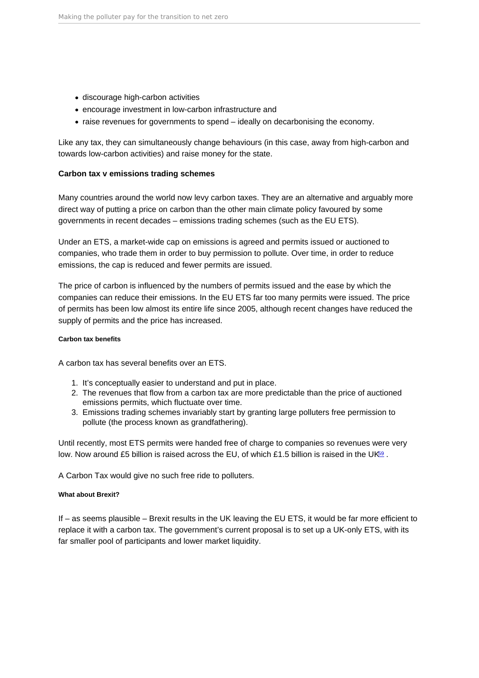- <span id="page-31-0"></span>discourage high-carbon activities
- encourage investment in low-carbon infrastructure and
- raise revenues for governments to spend ideally on decarbonising the economy.

Like any tax, they can simultaneously change behaviours (in this case, away from high-carbon and towards low-carbon activities) and raise money for the state.

Carbon tax v emissions trading schemes

Many countries around the world now levy carbon taxes. They are an alternative and arguably more direct way of putting a price on carbon than the other main climate policy favoured by some governments in recent decades – emissions trading schemes (such as the EU ETS).

Under an ETS, a market-wide cap on emissions is agreed and permits issued or auctioned to companies, who trade them in order to buy permission to pollute. Over time, in order to reduce emissions, the cap is reduced and fewer permits are issued.

The price of carbon is influenced by the numbers of permits issued and the ease by which the companies can reduce their emissions. In the EU ETS far too many permits were issued. The price of permits has been low almost its entire life since 2005, although recent changes have reduced the supply of permits and the price has increased.

## Carbon tax benefits

A carbon tax has several benefits over an ETS.

- 1. It's conceptually easier to understand and put in place.
- 2. The revenues that flow from a carbon tax are more predictable than the price of auctioned emissions permits, which fluctuate over time.
- 3. Emissions trading schemes invariably start by granting large polluters free permission to pollute (the process known as grandfathering).

Until recently, most ETS permits were handed free of charge to companies so revenues were very low. Now around £5 billion is raised across the EU, of which £1.5 billion is raised in the UK<sup>[59](#page-43-0)</sup>.

A Carbon Tax would give no such free ride to polluters.

## What about Brexit?

If – as seems plausible – Brexit results in the UK leaving the EU ETS, it would be far more efficient to replace it with a carbon tax. The government's current proposal is to set up a UK-only ETS, with its far smaller pool of participants and lower market liquidity.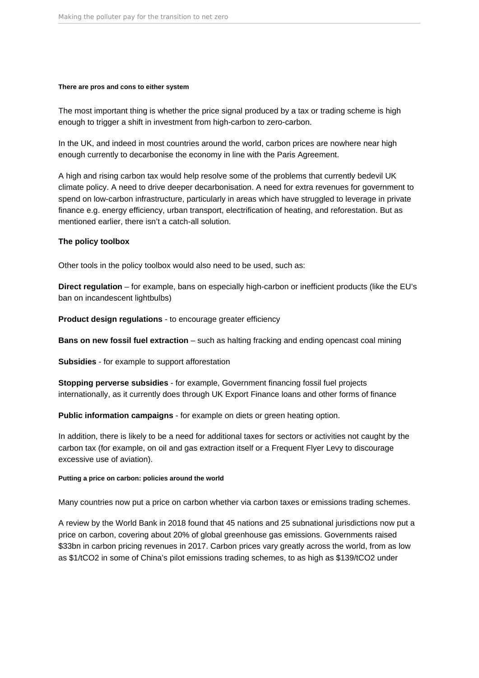#### **There are pros and cons to either system**

The most important thing is whether the price signal produced by a tax or trading scheme is high enough to trigger a shift in investment from high-carbon to zero-carbon.

In the UK, and indeed in most countries around the world, carbon prices are nowhere near high enough currently to decarbonise the economy in line with the Paris Agreement.

A high and rising carbon tax would help resolve some of the problems that currently bedevil UK climate policy. A need to drive deeper decarbonisation. A need for extra revenues for government to spend on low-carbon infrastructure, particularly in areas which have struggled to leverage in private finance e.g. energy efficiency, urban transport, electrification of heating, and reforestation. But as mentioned earlier, there isn't a catch-all solution.

### **The policy toolbox**

Other tools in the policy toolbox would also need to be used, such as:

**Direct regulation** – for example, bans on especially high-carbon or inefficient products (like the EU's ban on incandescent lightbulbs)

**Product design regulations** - to encourage greater efficiency

**Bans on new fossil fuel extraction** – such as halting fracking and ending opencast coal mining

**Subsidies** - for example to support afforestation

**Stopping perverse subsidies** - for example, Government financing fossil fuel projects internationally, as it currently does through UK Export Finance loans and other forms of finance

**Public information campaigns** - for example on diets or green heating option.

In addition, there is likely to be a need for additional taxes for sectors or activities not caught by the carbon tax (for example, on oil and gas extraction itself or a Frequent Flyer Levy to discourage excessive use of aviation).

#### **Putting a price on carbon: policies around the world**

Many countries now put a price on carbon whether via carbon taxes or emissions trading schemes.

A review by the World Bank in 2018 found that 45 nations and 25 subnational jurisdictions now put a price on carbon, covering about 20% of global greenhouse gas emissions. Governments raised \$33bn in carbon pricing revenues in 2017. Carbon prices vary greatly across the world, from as low as \$1/tCO2 in some of China's pilot emissions trading schemes, to as high as \$139/tCO2 under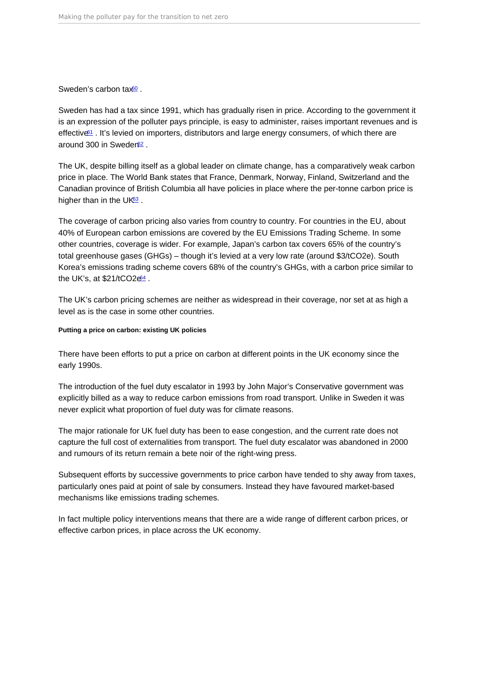<span id="page-33-0"></span>Sweden's carbon tax<sup>[60](#page-43-0)</sup>.

Sweden has had a tax since 1991, which has gradually risen in price. According to the government it is an expression of the polluter pays principle, is easy to administer, raises important revenues and is effective<sup>1</sup>. It's levied on importers, distributors and large energy consumers, of which there are around 300 in Sweder $62$ .

The UK, despite billing itself as a global leader on climate change, has a comparatively weak carbon price in place. The World Bank states that France, Denmark, Norway, Finland, Switzerland and the Canadian province of British Columbia all have policies in place where the per-tonne carbon price is higher than in the  $UK_{3}^{3}$ .

The coverage of carbon pricing also varies from country to country. For countries in the EU, about 40% of European carbon emissions are covered by the EU Emissions Trading Scheme. In some other countries, coverage is wider. For example, Japan's carbon tax covers 65% of the country's total greenhouse gases (GHGs) – though it's levied at a very low rate (around \$3/tCO2e). South Korea's emissions trading scheme covers 68% of the country's GHGs, with a carbon price similar to the UK's, at  $$21/tCO2e^{64}$  $$21/tCO2e^{64}$  $$21/tCO2e^{64}$ .

The UK's carbon pricing schemes are neither as widespread in their coverage, nor set at as high a level as is the case in some other countries.

Putting a price on carbon: existing UK policies

There have been efforts to put a price on carbon at different points in the UK economy since the early 1990s.

The introduction of the fuel duty escalator in 1993 by John Major's Conservative government was explicitly billed as a way to reduce carbon emissions from road transport. Unlike in Sweden it was never explicit what proportion of fuel duty was for climate reasons.

The major rationale for UK fuel duty has been to ease congestion, and the current rate does not capture the full cost of externalities from transport. The fuel duty escalator was abandoned in 2000 and rumours of its return remain a bete noir of the right-wing press.

Subsequent efforts by successive governments to price carbon have tended to shy away from taxes, particularly ones paid at point of sale by consumers. Instead they have favoured market-based mechanisms like emissions trading schemes.

In fact multiple policy interventions means that there are a wide range of different carbon prices, or effective carbon prices, in place across the UK economy.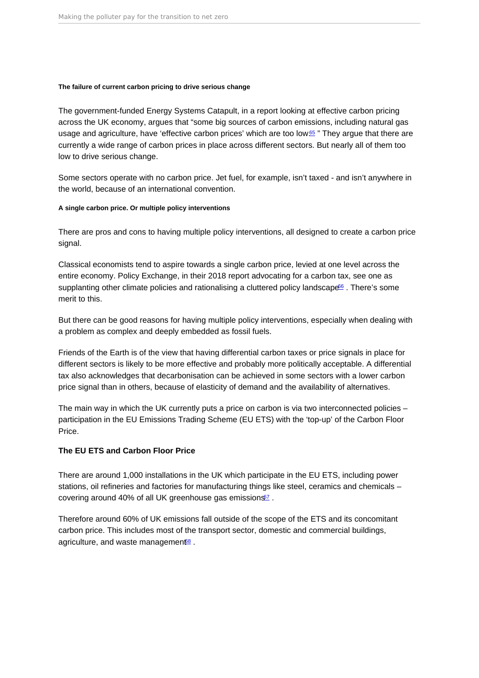<span id="page-34-0"></span>The failure of current carbon pricing to drive serious change

The government-funded Energy Systems Catapult, in a report looking at effective carbon pricing across the UK economy, argues that "some big sources of carbon emissions, including natural gas usage and agriculture, have 'effective carbon prices' which are too low.<sup>[65](#page-44-0)</sup> " They argue that there are currently a wide range of carbon prices in place across different sectors. But nearly all of them too low to drive serious change.

Some sectors operate with no carbon price. Jet fuel, for example, isn't taxed - and isn't anywhere in the world, because of an international convention.

A single carbon price. Or multiple policy interventions

There are pros and cons to having multiple policy interventions, all designed to create a carbon price signal.

Classical economists tend to aspire towards a single carbon price, levied at one level across the entire economy. Policy Exchange, in their 2018 report advocating for a carbon tax, see one as supplanting other climate policies and rationalising a cluttered policy landscape<sup>[66](#page-44-0)</sup>. There's some merit to this.

But there can be good reasons for having multiple policy interventions, especially when dealing with a problem as complex and deeply embedded as fossil fuels.

Friends of the Earth is of the view that having differential carbon taxes or price signals in place for different sectors is likely to be more effective and probably more politically acceptable. A differential tax also acknowledges that decarbonisation can be achieved in some sectors with a lower carbon price signal than in others, because of elasticity of demand and the availability of alternatives.

The main way in which the UK currently puts a price on carbon is via two interconnected policies – participation in the EU Emissions Trading Scheme (EU ETS) with the 'top-up' of the Carbon Floor Price.

The EU ETS and Carbon Floor Price

There are around 1,000 installations in the UK which participate in the EU ETS, including power stations, oil refineries and factories for manufacturing things like steel, ceramics and chemicals – covering around 40% of all UK greenhouse gas emissions<sup>[67](#page-44-0)</sup>.

Therefore around 60% of UK emissions fall outside of the scope of the ETS and its concomitant carbon price. This includes most of the transport sector, domestic and commercial buildings, agriculture, and waste management<sup>88</sup>.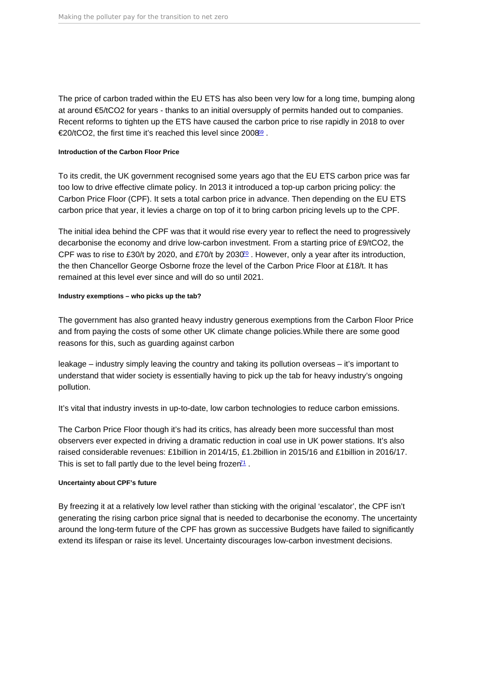<span id="page-35-0"></span>The price of carbon traded within the EU ETS has also been very low for a long time, bumping along at around €5/tCO2 for years - thanks to an initial oversupply of permits handed out to companies. Recent reforms to tighten up the ETS have caused the carbon price to rise rapidly in 2018 to over €20/tCO2, the first time it's reached this level since 2008[69](#page-44-0) .

#### Introduction of the Carbon Floor Price

To its credit, the UK government recognised some years ago that the EU ETS carbon price was far too low to drive effective climate policy. In 2013 it introduced a top-up carbon pricing policy: the Carbon Price Floor (CPF). It sets a total carbon price in advance. Then depending on the EU ETS carbon price that year, it levies a charge on top of it to bring carbon pricing levels up to the CPF.

The initial idea behind the CPF was that it would rise every year to reflect the need to progressively decarbonise the economy and drive low-carbon investment. From a starting price of £9/tCO2, the CPF was to rise to £30/t by 2020, and £[70](#page-44-0)/t by 2030 $\degree$ . However, only a year after its introduction, the then Chancellor George Osborne froze the level of the Carbon Price Floor at £18/t. It has remained at this level ever since and will do so until 2021.

#### Industry exemptions – who picks up the tab?

The government has also granted heavy industry generous exemptions from the Carbon Floor Price and from paying the costs of some other UK climate change policies.While there are some good reasons for this, such as guarding against carbon

leakage – industry simply leaving the country and taking its pollution overseas – it's important to understand that wider society is essentially having to pick up the tab for heavy industry's ongoing pollution.

It's vital that industry invests in up-to-date, low carbon technologies to reduce carbon emissions.

The Carbon Price Floor though it's had its critics, has already been more successful than most observers ever expected in driving a dramatic reduction in coal use in UK power stations. It's also raised considerable revenues: £1billion in 2014/15, £1.2billion in 2015/16 and £1billion in 2016/17. This is set to fall partly due to the level being frozen<sup> $71$ </sup>.

### Uncertainty about CPF's future

By freezing it at a relatively low level rather than sticking with the original 'escalator', the CPF isn't generating the rising carbon price signal that is needed to decarbonise the economy. The uncertainty around the long-term future of the CPF has grown as successive Budgets have failed to significantly extend its lifespan or raise its level. Uncertainty discourages low-carbon investment decisions.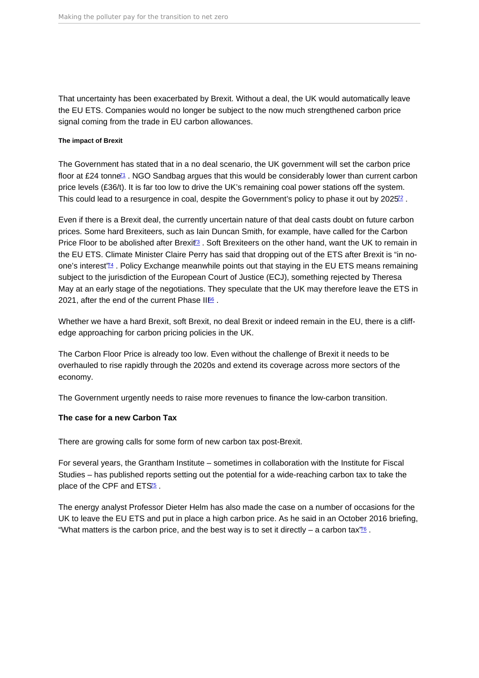<span id="page-36-0"></span>That uncertainty has been exacerbated by Brexit. Without a deal, the UK would automatically leave the EU ETS. Companies would no longer be subject to the now much strengthened carbon price signal coming from the trade in EU carbon allowances.

The impact of Brexit

The Government has stated that in a no deal scenario, the UK government will set the carbon price floor at £24 tonne<sup> $1$ </sup>. NGO Sandbag argues that this would be considerably lower than current carbon price levels (£36/t). It is far too low to drive the UK's remaining coal power stations off the system. This could lead to a resurgence in coal, despite the Government's policy to phase it out by  $2025<sup>2</sup>$ .

Even if there is a Brexit deal, the currently uncertain nature of that deal casts doubt on future carbon prices. Some hard Brexiteers, such as Iain Duncan Smith, for example, have called for the Carbon Price Floor to be abolished after Brexit<sup>3</sup>. Soft Brexiteers on the other hand, want the UK to remain in the EU ETS. Climate Minister Claire Perry has said that dropping out of the ETS after Brexit is "in noone's interest<sup>'*[74](#page-44-0)*</sup>. Policy Exchange meanwhile points out that staying in the EU ETS means remaining subject to the jurisdiction of the European Court of Justice (ECJ), something rejected by Theresa May at an early stage of the negotiations. They speculate that the UK may therefore leave the ETS in 2021, after the end of the current Phase  $II^{66}$  $II^{66}$  $II^{66}$ .

Whether we have a hard Brexit, soft Brexit, no deal Brexit or indeed remain in the EU, there is a cliffedge approaching for carbon pricing policies in the UK.

The Carbon Floor Price is already too low. Even without the challenge of Brexit it needs to be overhauled to rise rapidly through the 2020s and extend its coverage across more sectors of the economy.

The Government urgently needs to raise more revenues to finance the low-carbon transition.

The case for a new Carbon Tax

There are growing calls for some form of new carbon tax post-Brexit.

For several years, the Grantham Institute – sometimes in collaboration with the Institute for Fiscal Studies – has published reports setting out the potential for a wide-reaching carbon tax to take the place of the CPF and ETS<sup>55</sup>.

The energy analyst Professor Dieter Helm has also made the case on a number of occasions for the UK to leave the EU ETS and put in place a high carbon price. As he said in an October 2016 briefing, "What matters is the carbon price, and the best way is to set it directly – a carbon tax $\frac{76}{6}$  $\frac{76}{6}$  $\frac{76}{6}$ .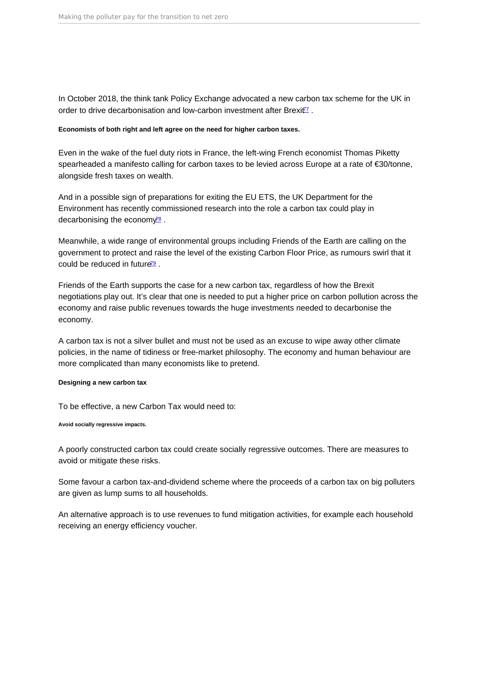<span id="page-37-0"></span>In October 2018, the think tank Policy Exchange advocated a new carbon tax scheme for the UK in order to drive decarbonisation and low-carbon investment after Brexit<sup>[77](#page-44-0)</sup>.

Economists of both right and left agree on the need for higher carbon taxes .

Even in the wake of the fuel duty riots in France, the left-wing French economist Thomas Piketty spearheaded a manifesto calling for carbon taxes to be levied across Europe at a rate of €30/tonne, alongside fresh taxes on wealth.

And in a possible sign of preparations for exiting the EU ETS, the UK Department for the Environment has recently commissioned research into the role a carbon tax could play in decarbonising the economy $\frac{78}{6}$  $\frac{78}{6}$  $\frac{78}{6}$ .

Meanwhile, a wide range of environmental groups including Friends of the Earth are calling on the government to protect and raise the level of the existing Carbon Floor Price, as rumours swirl that it could be reduced in future<sup>[79](#page-44-0)</sup>.

Friends of the Earth supports the case for a new carbon tax, regardless of how the Brexit negotiations play out. It's clear that one is needed to put a higher price on carbon pollution across the economy and raise public revenues towards the huge investments needed to decarbonise the economy.

A carbon tax is not a silver bullet and must not be used as an excuse to wipe away other climate policies, in the name of tidiness or free-market philosophy. The economy and human behaviour are more complicated than many economists like to pretend.

Designing a new carbon tax

To be effective, a new Carbon Tax would need to:

Avoid socially regressive impacts.

A poorly constructed carbon tax could create socially regressive outcomes. There are measures to avoid or mitigate these risks.

Some favour a carbon tax-and-dividend scheme where the proceeds of a carbon tax on big polluters are given as lump sums to all households.

An alternative approach is to use revenues to fund mitigation activities, for example each household receiving an energy efficiency voucher.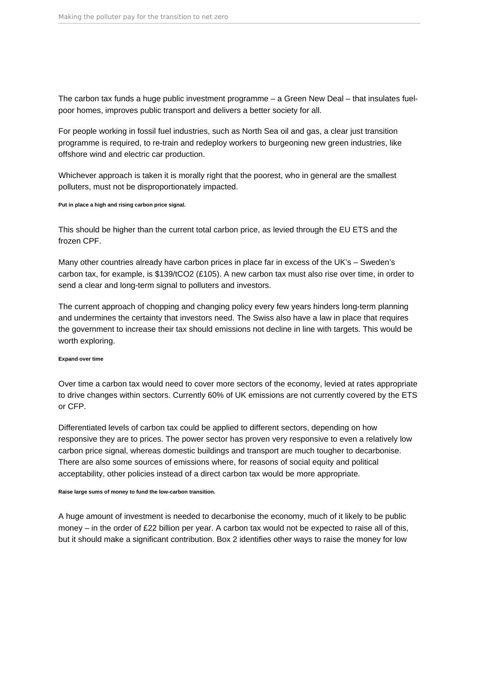The carbon tax funds a huge public investment programme – a Green New Deal – that insulates fuelpoor homes, improves public transport and delivers a better society for all.

For people working in fossil fuel industries, such as North Sea oil and gas, a clear just transition programme is required, to re-train and redeploy workers to burgeoning new green industries, like offshore wind and electric car production.

Whichever approach is taken it is morally right that the poorest, who in general are the smallest polluters, must not be disproportionately impacted.

#### **Put in place a high and rising carbon price signal.**

This should be higher than the current total carbon price, as levied through the EU ETS and the frozen CPF.

Many other countries already have carbon prices in place far in excess of the UK's – Sweden's carbon tax, for example, is \$139/tCO2 (£105). A new carbon tax must also rise over time, in order to send a clear and long-term signal to polluters and investors.

The current approach of chopping and changing policy every few years hinders long-term planning and undermines the certainty that investors need. The Swiss also have a law in place that requires the government to increase their tax should emissions not decline in line with targets. This would be worth exploring.

#### **Expand over time**

Over time a carbon tax would need to cover more sectors of the economy, levied at rates appropriate to drive changes within sectors. Currently 60% of UK emissions are not currently covered by the ETS or CFP.

Differentiated levels of carbon tax could be applied to different sectors, depending on how responsive they are to prices. The power sector has proven very responsive to even a relatively low carbon price signal, whereas domestic buildings and transport are much tougher to decarbonise. There are also some sources of emissions where, for reasons of social equity and political acceptability, other policies instead of a direct carbon tax would be more appropriate.

#### **Raise large sums of money to fund the low-carbon transition.**

A huge amount of investment is needed to decarbonise the economy, much of it likely to be public money – in the order of £22 billion per year. A carbon tax would not be expected to raise all of this, but it should make a significant contribution. Box 2 identifies other ways to raise the money for low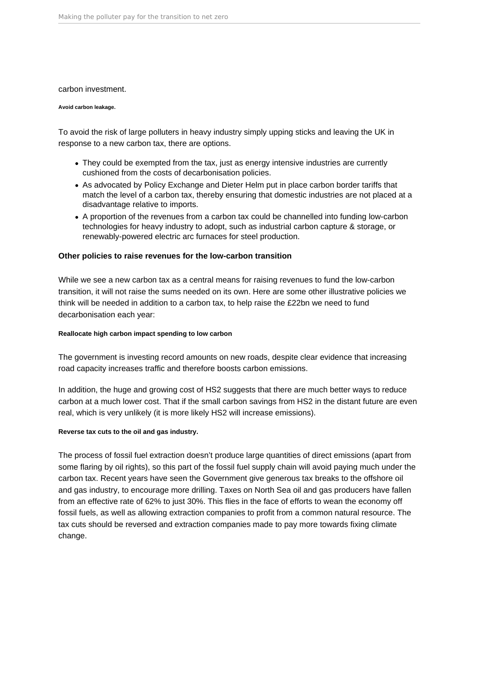#### carbon investment.

#### **Avoid carbon leakage.**

To avoid the risk of large polluters in heavy industry simply upping sticks and leaving the UK in response to a new carbon tax, there are options.

- They could be exempted from the tax, just as energy intensive industries are currently cushioned from the costs of decarbonisation policies.
- As advocated by Policy Exchange and Dieter Helm put in place carbon border tariffs that match the level of a carbon tax, thereby ensuring that domestic industries are not placed at a disadvantage relative to imports.
- A proportion of the revenues from a carbon tax could be channelled into funding low-carbon technologies for heavy industry to adopt, such as industrial carbon capture & storage, or renewably-powered electric arc furnaces for steel production.

### **Other policies to raise revenues for the low-carbon transition**

While we see a new carbon tax as a central means for raising revenues to fund the low-carbon transition, it will not raise the sums needed on its own. Here are some other illustrative policies we think will be needed in addition to a carbon tax, to help raise the £22bn we need to fund decarbonisation each year:

#### **Reallocate high carbon impact spending to low carbon**

The government is investing record amounts on new roads, despite clear evidence that increasing road capacity increases traffic and therefore boosts carbon emissions.

In addition, the huge and growing cost of HS2 suggests that there are much better ways to reduce carbon at a much lower cost. That if the small carbon savings from HS2 in the distant future are even real, which is very unlikely (it is more likely HS2 will increase emissions).

### **Reverse tax cuts to the oil and gas industry.**

The process of fossil fuel extraction doesn't produce large quantities of direct emissions (apart from some flaring by oil rights), so this part of the fossil fuel supply chain will avoid paying much under the carbon tax. Recent years have seen the Government give generous tax breaks to the offshore oil and gas industry, to encourage more drilling. Taxes on North Sea oil and gas producers have fallen from an effective rate of 62% to just 30%. This flies in the face of efforts to wean the economy off fossil fuels, as well as allowing extraction companies to profit from a common natural resource. The tax cuts should be reversed and extraction companies made to pay more towards fixing climate change.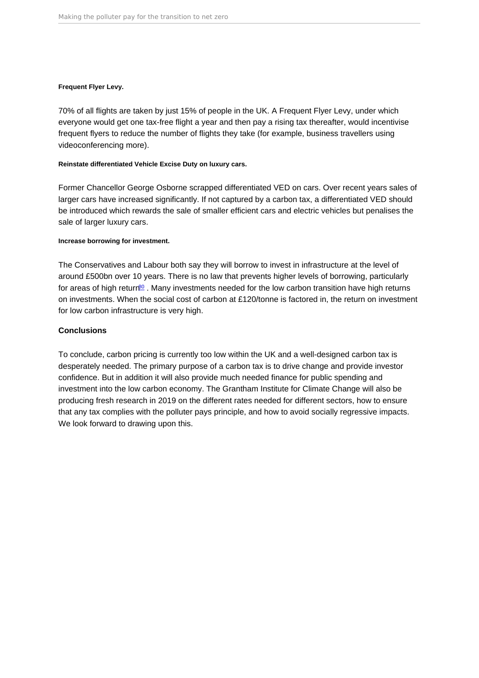<span id="page-40-0"></span>Frequent Flyer Levy .

70% of all flights are taken by just 15% of people in the UK. A Frequent Flyer Levy, under which everyone would get one tax-free flight a year and then pay a rising tax thereafter, would incentivise frequent flyers to reduce the number of flights they take (for example, business travellers using videoconferencing more).

Reinstate differentiated Vehicle Excise Duty on luxury cars.

Former Chancellor George Osborne scrapped differentiated VED on cars. Over recent years sales of larger cars have increased significantly. If not captured by a carbon tax, a differentiated VED should be introduced which rewards the sale of smaller efficient cars and electric vehicles but penalises the sale of larger luxury cars.

#### Increase borrowing for investment.

The Conservatives and Labour both say they will borrow to invest in infrastructure at the level of around £500bn over 10 years. There is no law that prevents higher levels of borrowing, particularly for areas of high return<sup>[80](#page-45-0)</sup>. Many investments needed for the low carbon transition have high returns on investments. When the social cost of carbon at £120/tonne is factored in, the return on investment for low carbon infrastructure is very high.

## Conclusions

To conclude, carbon pricing is currently too low within the UK and a well-designed carbon tax is desperately needed. The primary purpose of a carbon tax is to drive change and provide investor confidence. But in addition it will also provide much needed finance for public spending and investment into the low carbon economy. The Grantham Institute for Climate Change will also be producing fresh research in 2019 on the different rates needed for different sectors, how to ensure that any tax complies with the polluter pays principle, and how to avoid socially regressive impacts. We look forward to drawing upon this.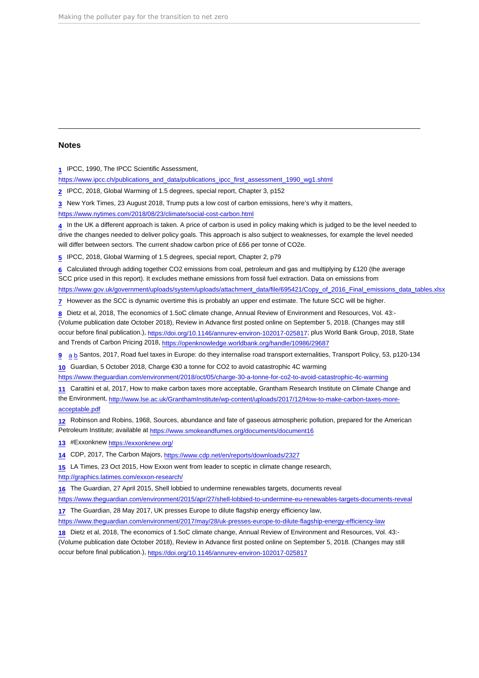### <span id="page-41-0"></span>Notes

[1](#page-4-0) IPCC, 1990, The IPCC Scientific Assessment,

[https://www.ipcc.ch/publications\\_and\\_data/publications\\_ipcc\\_first\\_assessment\\_1990\\_wg1.shtml](https://www.ipcc.ch/publications_and_data/publications_ipcc_first_assessment_1990_wg1.shtml)

[2](#page-5-0) IPCC, 2018, Global Warming of 1.5 degrees, special report, Chapter 3, p152

[3](#page-5-0) New York Times, 23 August 2018, Trump puts a low cost of carbon emissions, here's why it matters,

<https://www.nytimes.com/2018/08/23/climate/social-cost-carbon.html>

[4](#page-5-0) In the UK a different approach is taken. A price of carbon is used in policy making which is judged to be the level needed to drive the changes needed to deliver policy goals. This approach is also subject to weaknesses, for example the level needed will differ between sectors. The current shadow carbon price of £66 per tonne of CO2e.

[5](#page-6-0) IPCC, 2018, Global Warming of 1.5 degrees, special report, Chapter 2, p79

 $6$  Calculated through adding together CO2 emissions from coal, petroleum and gas and multiplying by £120 (the average SCC price used in this report). It excludes methane emissions from fossil fuel extraction. Data on emissions from [https://www.gov.uk/government/uploads/system/uploads/attachment\\_data/file/695421/Copy\\_of\\_2016\\_Final\\_emissions\\_data\\_tables.xlsx](https://www.gov.uk/government/uploads/system/uploads/attachment_data/file/695421/Copy_of_2016_Final_emissions_data_tables.xlsx)

[7](#page-7-0) However as the SCC is dynamic overtime this is probably an upper end estimate. The future SCC will be higher.

[8](#page-8-0) Dietz et al, 2018, The economics of 1.5oC climate change, Annual Review of Environment and Resources, Vol. 43:- (Volume publication date October 2018), Review in Advance first posted online on September 5, 2018. (Changes may still occur before final publication.), <https://doi.org/10.1146/annurev-environ-102017-025817>; plus World Bank Group, 2018, State and Trends of Carbon Pricing 2018, <https://openknowledge.worldbank.org/handle/10986/29687>

[9](#page-8-0) [a](#page-8-0) [b](#page-8-0) Santos, 2017, Road fuel taxes in Europe: do they internalise road transport externalities, Transport Policy, 53, p120-134

[10](#page-9-0) Guardian, 5 October 2018, Charge €30 a tonne for CO2 to avoid catastrophic 4C warming

<https://www.theguardian.com/environment/2018/oct/05/charge-30-a-tonne-for-co2-to-avoid-catastrophic-4c-warming>

[11](#page-9-0) Carattini et al, 2017, How to make carbon taxes more acceptable, Grantham Research Institute on Climate Change and the Environment, [http://www.lse.ac.uk/GranthamInstitute/wp-content/uploads/2017/12/How-to-make-carbon-taxes-more](http://www.lse.ac.uk/GranthamInstitute/wp-content/uploads/2017/12/How-to-make-carbon-taxes-more-acceptable.pdf)[acceptable.pdf](http://www.lse.ac.uk/GranthamInstitute/wp-content/uploads/2017/12/How-to-make-carbon-taxes-more-acceptable.pdf)

[12](#page-9-0) Robinson and Robins, 1968, Sources, abundance and fate of gaseous atmospheric pollution, prepared for the American Petroleum Institute; available at<https://www.smokeandfumes.org/documents/document16>

[13](#page-10-0) #Exxonknew<https://exxonknew.org/>

[14](#page-10-0) CDP, 2017, The Carbon Majors,<https://www.cdp.net/en/reports/downloads/2327>

[15](#page-12-0) LA Times, 23 Oct 2015, How Exxon went from leader to sceptic in climate change research,

<http://graphics.latimes.com/exxon-research/>

[16](#page-12-0) The Guardian, 27 April 2015, Shell lobbied to undermine renewables targets, documents reveal

<https://www.theguardian.com/environment/2015/apr/27/shell-lobbied-to-undermine-eu-renewables-targets-documents-reveal>

[17](#page-12-0) The Guardian, 28 May 2017, UK presses Europe to dilute flagship energy efficiency law,

<https://www.theguardian.com/environment/2017/may/28/uk-presses-europe-to-dilute-flagship-energy-efficiency-law>

[18](#page-13-0) Dietz et al, 2018, The economics of 1.5oC climate change, Annual Review of Environment and Resources, Vol. 43:- (Volume publication date October 2018), Review in Advance first posted online on September 5, 2018. (Changes may still occur before final publication.), <https://doi.org/10.1146/annurev-environ-102017-025817>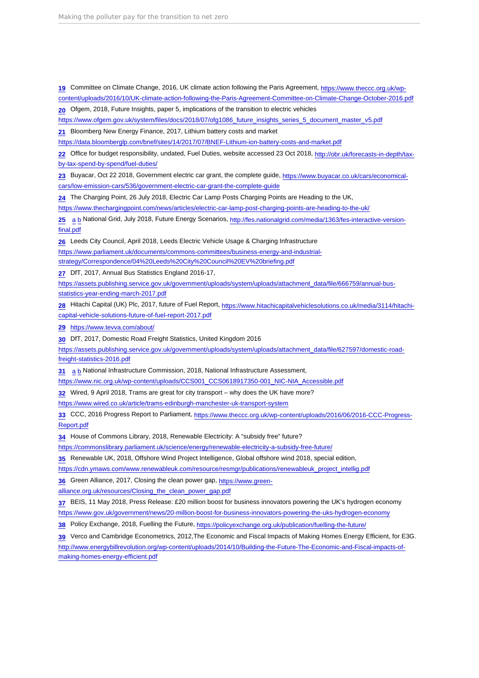<span id="page-42-0"></span>[19](#page-14-0) Committee on Climate Change, 2016, UK climate action following the Paris Agreement, [https://www.theccc.org.uk/wp](https://www.theccc.org.uk/wp-content/uploads/2016/10/UK-climate-action-following-the-Paris-Agreement-Committee-on-Climate-Change-October-2016.pdf)[content/uploads/2016/10/UK-climate-action-following-the-Paris-Agreement-Committee-on-Climate-Change-October-2016.pdf](https://www.theccc.org.uk/wp-content/uploads/2016/10/UK-climate-action-following-the-Paris-Agreement-Committee-on-Climate-Change-October-2016.pdf)

[20](#page-15-0) Ofgem, 2018, Future Insights, paper 5, implications of the transition to electric vehicles

[https://www.ofgem.gov.uk/system/files/docs/2018/07/ofg1086\\_future\\_insights\\_series\\_5\\_document\\_master\\_v5.pdf](https://www.ofgem.gov.uk/system/files/docs/2018/07/ofg1086_future_insights_series_5_document_master_v5.pdf)

[21](#page-15-0) Bloomberg New Energy Finance, 2017, Lithium battery costs and market

<https://data.bloomberglp.com/bnef/sites/14/2017/07/BNEF-Lithium-ion-battery-costs-and-market.pdf>

[22](#page-15-0) Office for budget responsibility, undated, Fuel Duties, website accessed 23 Oct 2018, [http://obr.uk/forecasts-in-depth/tax](http://obr.uk/forecasts-in-depth/tax-by-tax-spend-by-spend/fuel-duties/)[by-tax-spend-by-spend/fuel-duties/](http://obr.uk/forecasts-in-depth/tax-by-tax-spend-by-spend/fuel-duties/)

[23](#page-15-0) Buyacar, Oct 22 2018, Government electric car grant, the complete guide, [https://www.buyacar.co.uk/cars/economical](https://www.buyacar.co.uk/cars/economical-cars/low-emission-cars/536/government-electric-car-grant-the-complete-guide)[cars/low-emission-cars/536/government-electric-car-grant-the-complete-guide](https://www.buyacar.co.uk/cars/economical-cars/low-emission-cars/536/government-electric-car-grant-the-complete-guide)

[24](#page-15-0) The Charging Point, 26 July 2018, Electric Car Lamp Posts Charging Points are Heading to the UK,

<https://www.thechargingpoint.com/news/articles/electric-car-lamp-post-charging-points-are-heading-to-the-uk/>

[25](#page-15-0) [a](#page-15-0) [b](#page-15-0) National Grid, July 2018, Future Energy Scenarios, [http://fes.nationalgrid.com/media/1363/fes-interactive-version](http://fes.nationalgrid.com/media/1363/fes-interactive-version-final.pdf)[final.pdf](http://fes.nationalgrid.com/media/1363/fes-interactive-version-final.pdf)

[26](#page-15-0) Leeds City Council, April 2018, Leeds Electric Vehicle Usage & Charging Infrastructure

[https://www.parliament.uk/documents/commons-committees/business-energy-and-industrial-](https://www.parliament.uk/documents/commons-committees/business-energy-and-industrial-strategy/Correspondence/04 Leeds City Council EV briefing.pdf)

[strategy/Correspondence/04%20Leeds%20City%20Council%20EV%20briefing.pdf](https://www.parliament.uk/documents/commons-committees/business-energy-and-industrial-strategy/Correspondence/04 Leeds City Council EV briefing.pdf)

[27](#page-16-0) DfT, 2017, Annual Bus Statistics England 2016-17,

[https://assets.publishing.service.gov.uk/government/uploads/system/uploads/attachment\\_data/file/666759/annual-bus](https://assets.publishing.service.gov.uk/government/uploads/system/uploads/attachment_data/file/666759/annual-bus-statistics-year-ending-march-2017.pdf)[statistics-year-ending-march-2017.pdf](https://assets.publishing.service.gov.uk/government/uploads/system/uploads/attachment_data/file/666759/annual-bus-statistics-year-ending-march-2017.pdf)

[28](#page-16-0) Hitachi Capital (UK) Plc, 2017, future of Fuel Report, [https://www.hitachicapitalvehiclesolutions.co.uk/media/3114/hitachi](https://www.hitachicapitalvehiclesolutions.co.uk/media/3114/hitachi-capital-vehicle-solutions-future-of-fuel-report-2017.pdf)[capital-vehicle-solutions-future-of-fuel-report-2017.pdf](https://www.hitachicapitalvehiclesolutions.co.uk/media/3114/hitachi-capital-vehicle-solutions-future-of-fuel-report-2017.pdf)

[29](#page-16-0) <https://www.tevva.com/about/>

[30](#page-16-0) DfT, 2017, Domestic Road Freight Statistics, United Kingdom 2016

[https://assets.publishing.service.gov.uk/government/uploads/system/uploads/attachment\\_data/file/627597/domestic-road](https://assets.publishing.service.gov.uk/government/uploads/system/uploads/attachment_data/file/627597/domestic-road-freight-statistics-2016.pdf)[freight-statistics-2016.pdf](https://assets.publishing.service.gov.uk/government/uploads/system/uploads/attachment_data/file/627597/domestic-road-freight-statistics-2016.pdf)

[31](#page-16-0) [a](#page-16-0) [b](#page-21-0) National Infrastructure Commission, 2018, National Infrastructure Assessment,

[https://www.nic.org.uk/wp-content/uploads/CCS001\\_CCS0618917350-001\\_NIC-NIA\\_Accessible.pdf](https://www.nic.org.uk/wp-content/uploads/CCS001_CCS0618917350-001_NIC-NIA_Accessible.pdf)

 $32$  Wired, 9 April 2018, Trams are great for city transport – why does the UK have more?

<https://www.wired.co.uk/article/trams-edinburgh-manchester-uk-transport-system>

[33](#page-17-0) CCC, 2016 Progress Report to Parliament, [https://www.theccc.org.uk/wp-content/uploads/2016/06/2016-CCC-Progress-](https://www.theccc.org.uk/wp-content/uploads/2016/06/2016-CCC-Progress-Report.pdf)[Report.pdf](https://www.theccc.org.uk/wp-content/uploads/2016/06/2016-CCC-Progress-Report.pdf)

[34](#page-18-0) House of Commons Library, 2018, Renewable Electricity: A "subsidy free" future?

<https://commonslibrary.parliament.uk/science/energy/renewable-electricity-a-subsidy-free-future/>

[35](#page-18-0) Renewable UK, 2018, Offshore Wind Project Intelligence, Global offshore wind 2018, special edition,

[https://cdn.ymaws.com/www.renewableuk.com/resource/resmgr/publications/renewableuk\\_project\\_intellig.pdf](https://cdn.ymaws.com/www.renewableuk.com/resource/resmgr/publications/renewableuk_project_intellig.pdf)

[36](#page-18-0) Green Alliance, 2017, Closing the clean power gap, [https://www.green-](https://www.green-alliance.org.uk/resources/Closing_the_clean_power_gap.pdf)

[alliance.org.uk/resources/Closing\\_the\\_clean\\_power\\_gap.pdf](https://www.green-alliance.org.uk/resources/Closing_the_clean_power_gap.pdf)

[37](#page-20-0) BEIS, 11 May 2018, Press Release: £20 million boost for business innovators powering the UK's hydrogen economy <https://www.gov.uk/government/news/20-million-boost-for-business-innovators-powering-the-uks-hydrogen-economy>

[38](#page-20-0) Policy Exchange, 2018, Fuelling the Future, <https://policyexchange.org.uk/publication/fuelling-the-future/>

[39](#page-21-0) Verco and Cambridge Econometrics, 2012,The Economic and Fiscal Impacts of Making Homes Energy Efficient, for E3G.

[http://www.energybillrevolution.org/wp-content/uploads/2014/10/Building-the-Future-The-Economic-and-Fiscal-impacts-of](http://www.energybillrevolution.org/wp-content/uploads/2014/10/Building-the-Future-The-Economic-and-Fiscal-impacts-of-making-homes-energy-efficient.pdf)[making-homes-energy-efficient.pdf](http://www.energybillrevolution.org/wp-content/uploads/2014/10/Building-the-Future-The-Economic-and-Fiscal-impacts-of-making-homes-energy-efficient.pdf)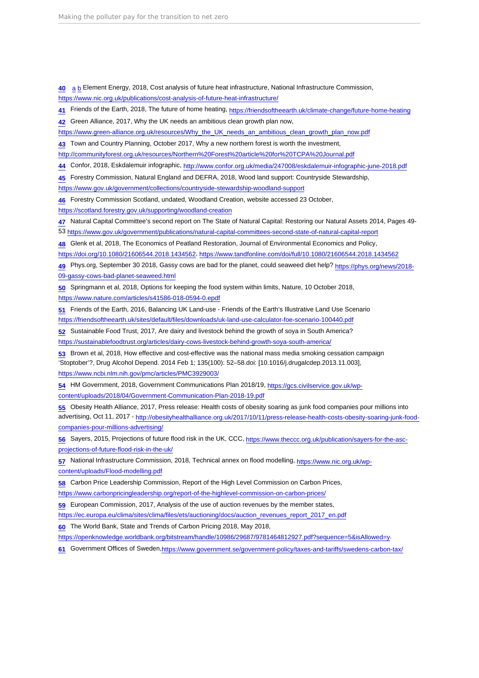<span id="page-43-0"></span>[40](#page-21-0) [a](#page-21-0) [b](#page-22-0) Element Energy, 2018, Cost analysis of future heat infrastructure, National Infrastructure Commission,

<https://www.nic.org.uk/publications/cost-analysis-of-future-heat-infrastructure/>

[41](#page-22-0) Friends of the Earth, 2018, The future of home heating,<https://friendsoftheearth.uk/climate-change/future-home-heating>

[42](#page-22-0) Green Alliance, 2017, Why the UK needs an ambitious clean growth plan now,

[https://www.green-alliance.org.uk/resources/Why\\_the\\_UK\\_needs\\_an\\_ambitious\\_clean\\_growth\\_plan\\_now.pdf](https://www.green-alliance.org.uk/resources/Why_the_UK_needs_an_ambitious_clean_growth_plan_now.pdf)

[43](#page-23-0) Town and Country Planning, October 2017, Why a new northern forest is worth the investment,

[http://communityforest.org.uk/resources/Northern%20Forest%20article%20for%20TCPA%20Journal.pdf](http://communityforest.org.uk/resources/Northern Forest article for TCPA Journal.pdf)

[44](#page-24-0) Confor, 2018, Eskdalemuir infographic,<http://www.confor.org.uk/media/247008/eskdalemuir-infographic-june-2018.pdf>

[45](#page-24-0) Forestry Commission, Natural England and DEFRA, 2018, Wood land support: Countryside Stewardship,

<https://www.gov.uk/government/collections/countryside-stewardship-woodland-support>

[46](#page-24-0) Forestry Commission Scotland, undated, Woodland Creation, website accessed 23 October,

<https://scotland.forestry.gov.uk/supporting/woodland-creation>

[47](#page-24-0) Natural Capital Committee's second report on The State of Natural Capital: Restoring our Natural Assets 2014, Pages 49-

53 <https://www.gov.uk/government/publications/natural-capital-committees-second-state-of-natural-capital-report>

[48](#page-25-0) Glenk et al, 2018, The Economics of Peatland Restoration, Journal of Environmental Economics and Policy,

<https://doi.org/10.1080/21606544.2018.1434562>, <https://www.tandfonline.com/doi/full/10.1080/21606544.2018.1434562>

[49](#page-25-0) Phys.org, September 30 2018, Gassy cows are bad for the planet, could seaweed diet help? [https://phys.org/news/2018-](https://phys.org/news/2018-09-gassy-cows-bad-planet-seaweed.html) [09-gassy-cows-bad-planet-seaweed.html](https://phys.org/news/2018-09-gassy-cows-bad-planet-seaweed.html)

[50](#page-25-0) Springmann et al, 2018, Options for keeping the food system within limits, Nature, 10 October 2018, <https://www.nature.com/articles/s41586-018-0594-0.epdf>

[51](#page-26-0) Friends of the Earth, 2016, Balancing UK Land-use - Friends of the Earth's Illustrative Land Use Scenario <https://friendsoftheearth.uk/sites/default/files/downloads/uk-land-use-calculator-foe-scenario-100440.pdf>

[52](#page-26-0) Sustainable Food Trust, 2017, Are dairy and livestock behind the growth of soya in South America? <https://sustainablefoodtrust.org/articles/dairy-cows-livestock-behind-growth-soya-south-america/>

[53](#page-26-0) Brown et al, 2018, How effective and cost-effective was the national mass media smoking cessation campaign 'Stoptober'?, Drug Alcohol Depend. 2014 Feb 1; 135(100): 52–58.doi: [10.1016/j.drugalcdep.2013.11.003], <https://www.ncbi.nlm.nih.gov/pmc/articles/PMC3929003/>

[54](#page-26-0) HM Government, 2018, Government Communications Plan 2018/19, [https://gcs.civilservice.gov.uk/wp](https://gcs.civilservice.gov.uk/wp-content/uploads/2018/04/Government-Communication-Plan-2018-19.pdf)[content/uploads/2018/04/Government-Communication-Plan-2018-19.pdf](https://gcs.civilservice.gov.uk/wp-content/uploads/2018/04/Government-Communication-Plan-2018-19.pdf)

[55](#page-26-0) Obesity Health Alliance, 2017, Press release: Health costs of obesity soaring as junk food companies pour millions into advertising, Oct 11, 2017 - [http://obesityhealthalliance.org.uk/2017/10/11/press-release-health-costs-obesity-soaring-junk-food](http://obesityhealthalliance.org.uk/2017/10/11/press-release-health-costs-obesity-soaring-junk-food-companies-pour-millions-advertising/)[companies-pour-millions-advertising/](http://obesityhealthalliance.org.uk/2017/10/11/press-release-health-costs-obesity-soaring-junk-food-companies-pour-millions-advertising/)

[56](#page-29-0) Sayers, 2015, Projections of future flood risk in the UK, CCC, [https://www.theccc.org.uk/publication/sayers-for-the-asc](https://www.theccc.org.uk/publication/sayers-for-the-asc-projections-of-future-flood-risk-in-the-uk/)[projections-of-future-flood-risk-in-the-uk/](https://www.theccc.org.uk/publication/sayers-for-the-asc-projections-of-future-flood-risk-in-the-uk/)

[57](#page-29-0) National Infrastructure Commission, 2018, Technical annex on flood modelling, [https://www.nic.org.uk/wp](https://www.nic.org.uk/wp-content/uploads/Flood-modelling.pdf)[content/uploads/Flood-modelling.pdf](https://www.nic.org.uk/wp-content/uploads/Flood-modelling.pdf)

[58](#page-30-0) Carbon Price Leadership Commission, Report of the High Level Commission on Carbon Prices,

<https://www.carbonpricingleadership.org/report-of-the-highlevel-commission-on-carbon-prices/>

[59](#page-31-0) European Commission, 2017, Analysis of the use of auction revenues by the member states,

[https://ec.europa.eu/clima/sites/clima/files/ets/auctioning/docs/auction\\_revenues\\_report\\_2017\\_en.pdf](https://ec.europa.eu/clima/sites/clima/files/ets/auctioning/docs/auction_revenues_report_2017_en.pdf)

[60](#page-33-0) The World Bank, State and Trends of Carbon Pricing 2018, May 2018,

[https://openknowledge.worldbank.org/bitstream/handle/10986/29687/9781464812927.pdf?sequence=5&isAllowed=y.](https://openknowledge.worldbank.org/bitstream/handle/10986/29687/9781464812927.pdf?sequence=5&isAllowed=y)

[61](#page-33-0) Government Offices of Sweden, <https://www.government.se/government-policy/taxes-and-tariffs/swedens-carbon-tax/>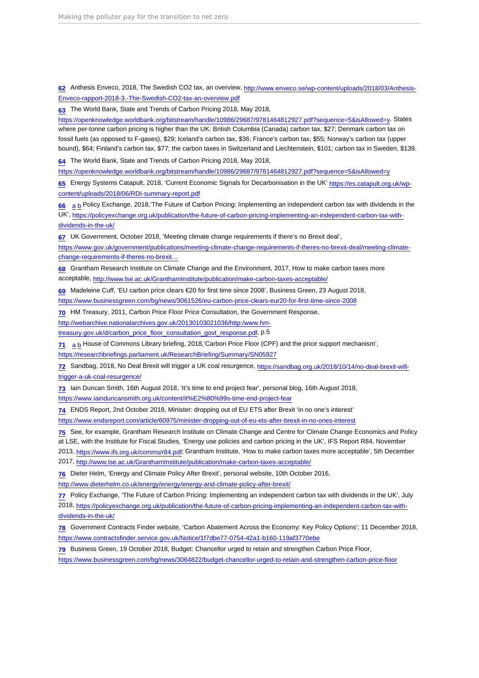<span id="page-44-0"></span>[62](#page-33-0) Anthesis Enveco, 2018, The Swedish CO2 tax, an overview, [http://www.enveco.se/wp-content/uploads/2018/03/Anthesis-](http://www.enveco.se/wp-content/uploads/2018/03/Anthesis-Enveco-rapport-2018-3.-The-Swedish-CO2-tax-an-overview.pdf)[Enveco-rapport-2018-3.-The-Swedish-CO2-tax-an-overview.pdf](http://www.enveco.se/wp-content/uploads/2018/03/Anthesis-Enveco-rapport-2018-3.-The-Swedish-CO2-tax-an-overview.pdf)

[63](#page-33-0) The World Bank, State and Trends of Carbon Pricing 2018, May 2018,

[https://openknowledge.worldbank.org/bitstream/handle/10986/29687/9781464812927.pdf?sequence=5&isAllowed=y.](https://openknowledge.worldbank.org/bitstream/handle/10986/29687/9781464812927.pdf?sequence=5&isAllowed=y) States where per-tonne carbon pricing is higher than the UK: British Columbia (Canada) carbon tax, \$27; Denmark carbon tax on fossil fuels (as opposed to F-gases), \$29; Iceland's carbon tax, \$36; France's carbon tax, \$55; Norway's carbon tax (upper bound), \$64; Finland's carbon tax, \$77; the carbon taxes in Switzerland and Liechtenstein, \$101; carbon tax in Sweden, \$139.

[64](#page-33-0) The World Bank, State and Trends of Carbon Pricing 2018, May 2018,

<https://openknowledge.worldbank.org/bitstream/handle/10986/29687/9781464812927.pdf?sequence=5&isAllowed=y>

[65](#page-34-0) Energy Systems Catapult, 2018, 'Current Economic Signals for Decarbonisation in the UK' [https://es.catapult.org.uk/wp](https://es.catapult.org.uk/wp-content/uploads/2018/06/RDI-summary-report.pdf)[content/uploads/2018/06/RDI-summary-report.pdf](https://es.catapult.org.uk/wp-content/uploads/2018/06/RDI-summary-report.pdf)

[66](#page-34-0) [a](#page-34-0) [b](#page-36-0) Policy Exchange, 2018,'The Future of Carbon Pricing: Implementing an independent carbon tax with dividends in the UK', [https://policyexchange.org.uk/publication/the-future-of-carbon-pricing-implementing-an-independent-carbon-tax-with](https://policyexchange.org.uk/publication/the-future-of-carbon-pricing-implementing-an-independent-carbon-tax-with-dividends-in-the-uk/)[dividends-in-the-uk/](https://policyexchange.org.uk/publication/the-future-of-carbon-pricing-implementing-an-independent-carbon-tax-with-dividends-in-the-uk/)

[67](#page-34-0) UK Government, October 2018, 'Meeting climate change requirements if there's no Brexit deal',

[https://www.gov.uk/government/publications/meeting-climate-change-requirements-if-theres-no-brexit-deal/meeting-climate](https://www.gov.uk/government/publications/meeting-climate-change-requirements-if-theres-no-brexit-deal/meeting-climate-change-requirements-if-theres-no-brexit-deal)[change-requirements-if-theres-no-brexit…](https://www.gov.uk/government/publications/meeting-climate-change-requirements-if-theres-no-brexit-deal/meeting-climate-change-requirements-if-theres-no-brexit-deal)

[68](#page-34-0) Grantham Research Institute on Climate Change and the Environment, 2017, How to make carbon taxes more acceptable, <http://www.lse.ac.uk/GranthamInstitute/publication/make-carbon-taxes-acceptable/>

[69](#page-35-0) Madeleine Cuff, 'EU carbon price clears €20 for first time since 2008', Business Green, 23 August 2018,

<https://www.businessgreen.com/bg/news/3061526/eu-carbon-price-clears-eur20-for-first-time-since-2008>

[70](#page-35-0) HM Treasury, 2011, Carbon Price Floor Price Consultation, the Government Response,

[http://webarchive.nationalarchives.gov.uk/20130103021036/http:/www.hm-](http://webarchive.nationalarchives.gov.uk/20130103021036/http:/www.hm-treasury.gov.uk/d/carbon_price_floor_consultation_govt_response.pdf)

[treasury.gov.uk/d/carbon\\_price\\_floor\\_consultation\\_govt\\_response.pdf,](http://webarchive.nationalarchives.gov.uk/20130103021036/http:/www.hm-treasury.gov.uk/d/carbon_price_floor_consultation_govt_response.pdf) p.5

[71](#page-35-0) [a](#page-35-0) [b](#page-36-0) House of Commons Library briefing, 2018,'Carbon Price Floor (CPF) and the price support mechanism',

<https://researchbriefings.parliament.uk/ResearchBriefing/Summary/SN05927>

[72](#page-36-0) Sandbag, 2018, No Deal Brexit will trigger a UK coal resurgence, [https://sandbag.org.uk/2018/10/14/no-deal-brexit-will](https://sandbag.org.uk/2018/10/14/no-deal-brexit-will-trigger-a-uk-coal-resurgence/)[trigger-a-uk-coal-resurgence/](https://sandbag.org.uk/2018/10/14/no-deal-brexit-will-trigger-a-uk-coal-resurgence/)

[73](#page-36-0) Iain Duncan Smith, 16th August 2018, 'It's time to end project fear', personal blog, 16th August 2018, [https://www.iainduncansmith.org.uk/content/it%E2%80%99s-time-end-project-fear](https://www.iainduncansmith.org.uk/content/it’s-time-end-project-fear)

[74](#page-36-0) ENDS Report, 2nd October 2018, Minister: dropping out of EU ETS after Brexit 'in no one's interest'

<https://www.endsreport.com/article/60975/minister-dropping-out-of-eu-ets-after-brexit-in-no-ones-interest>

[75](#page-36-0) See, for example, Grantham Research Institute on Climate Change and Centre for Climate Change Economics and Policy at LSE, with the Institute for Fiscal Studies, 'Energy use policies and carbon pricing in the UK', IFS Report R84, November

2013, <https://www.ifs.org.uk/comms/r84.pdf>; Grantham Institute, 'How to make carbon taxes more acceptable', 5th December

2017, <http://www.lse.ac.uk/GranthamInstitute/publication/make-carbon-taxes-acceptable/>

[76](#page-36-0) Dieter Helm, 'Energy and Climate Policy After Brexit', personal website, 10th October 2016,

<http://www.dieterhelm.co.uk/energy/energy/energy-and-climate-policy-after-brexit/>

[77](#page-37-0) Policy Exchange, 'The Future of Carbon Pricing: Implementing an independent carbon tax with dividends in the UK', July

2018, [https://policyexchange.org.uk/publication/the-future-of-carbon-pricing-implementing-an-independent-carbon-tax-with](https://policyexchange.org.uk/publication/the-future-of-carbon-pricing-implementing-an-independent-carbon-tax-with-dividends-in-the-uk/)[dividends-in-the-uk/](https://policyexchange.org.uk/publication/the-future-of-carbon-pricing-implementing-an-independent-carbon-tax-with-dividends-in-the-uk/)

[78](#page-37-0) Government Contracts Finder website, 'Carbon Abatement Across the Economy: Key Policy Options'; 11 December 2018, <https://www.contractsfinder.service.gov.uk/Notice/1f7dbe77-0754-42a1-b160-119af3770ebe>

[79](#page-37-0) Business Green, 19 October 2018, Budget: Chancellor urged to retain and strengthen Carbon Price Floor,

<https://www.businessgreen.com/bg/news/3064822/budget-chancellor-urged-to-retain-and-strengthen-carbon-price-floor>